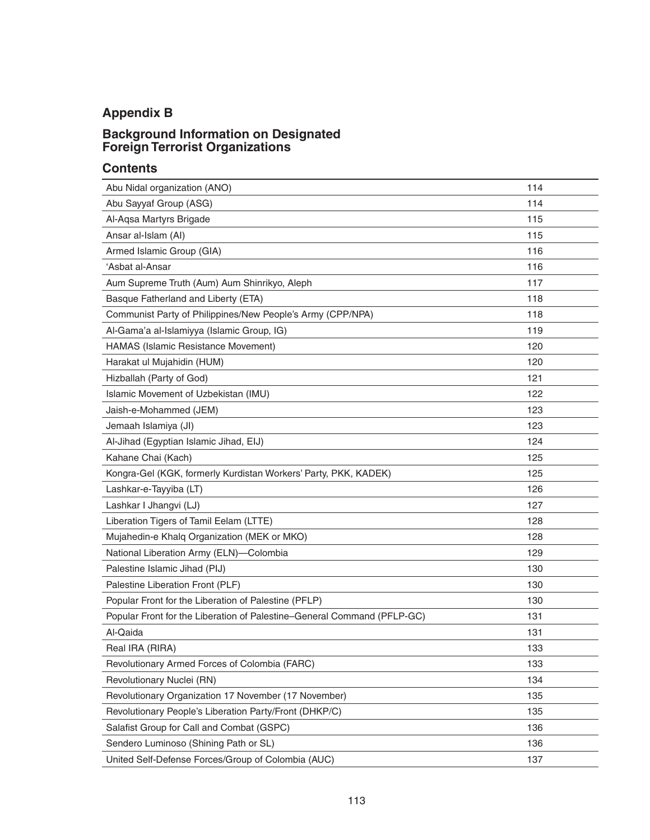# **Appendix B**

# **Background Information on Designated Foreign Terrorist Organizations**

# **Contents**

| Abu Nidal organization (ANO)                                            | 114 |
|-------------------------------------------------------------------------|-----|
| Abu Sayyaf Group (ASG)                                                  | 114 |
| Al-Aqsa Martyrs Brigade                                                 | 115 |
| Ansar al-Islam (AI)                                                     | 115 |
| Armed Islamic Group (GIA)                                               | 116 |
| 'Asbat al-Ansar                                                         | 116 |
| Aum Supreme Truth (Aum) Aum Shinrikyo, Aleph                            | 117 |
| Basque Fatherland and Liberty (ETA)                                     | 118 |
| Communist Party of Philippines/New People's Army (CPP/NPA)              | 118 |
| Al-Gama'a al-Islamiyya (Islamic Group, IG)                              | 119 |
| HAMAS (Islamic Resistance Movement)                                     | 120 |
| Harakat ul Mujahidin (HUM)                                              | 120 |
| Hizballah (Party of God)                                                | 121 |
| Islamic Movement of Uzbekistan (IMU)                                    | 122 |
| Jaish-e-Mohammed (JEM)                                                  | 123 |
| Jemaah Islamiya (JI)                                                    | 123 |
| Al-Jihad (Egyptian Islamic Jihad, EIJ)                                  | 124 |
| Kahane Chai (Kach)                                                      | 125 |
| Kongra-Gel (KGK, formerly Kurdistan Workers' Party, PKK, KADEK)         | 125 |
| Lashkar-e-Tayyiba (LT)                                                  | 126 |
| Lashkar I Jhangvi (LJ)                                                  | 127 |
| Liberation Tigers of Tamil Eelam (LTTE)                                 | 128 |
| Mujahedin-e Khalq Organization (MEK or MKO)                             | 128 |
| National Liberation Army (ELN)-Colombia                                 | 129 |
| Palestine Islamic Jihad (PIJ)                                           | 130 |
| Palestine Liberation Front (PLF)                                        | 130 |
| Popular Front for the Liberation of Palestine (PFLP)                    | 130 |
| Popular Front for the Liberation of Palestine-General Command (PFLP-GC) | 131 |
| Al-Qaida                                                                | 131 |
| Real IRA (RIRA)                                                         | 133 |
| Revolutionary Armed Forces of Colombia (FARC)                           | 133 |
| Revolutionary Nuclei (RN)                                               | 134 |
| Revolutionary Organization 17 November (17 November)                    | 135 |
| Revolutionary People's Liberation Party/Front (DHKP/C)                  | 135 |
| Salafist Group for Call and Combat (GSPC)                               | 136 |
| Sendero Luminoso (Shining Path or SL)                                   | 136 |
| United Self-Defense Forces/Group of Colombia (AUC)                      | 137 |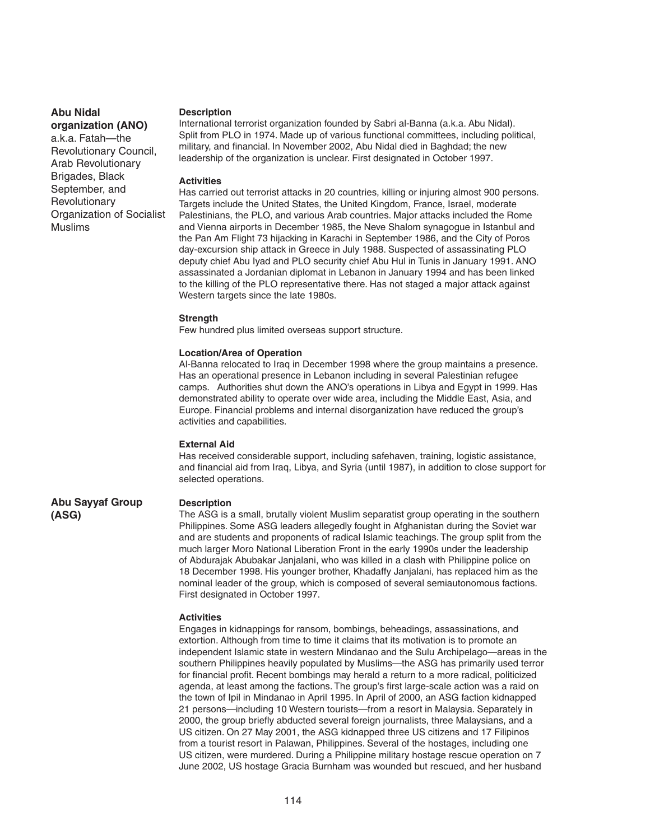# **Abu Nidal organization (ANO)**

a.k.a. Fatah—the Revolutionary Council, Arab Revolutionary Brigades, Black September, and Revolutionary Organization of Socialist Muslims

#### **Description**

International terrorist organization founded by Sabri al-Banna (a.k.a. Abu Nidal). Split from PLO in 1974. Made up of various functional committees, including political, military, and financial. In November 2002, Abu Nidal died in Baghdad; the new leadership of the organization is unclear. First designated in October 1997.

#### **Activities**

Has carried out terrorist attacks in 20 countries, killing or injuring almost 900 persons. Targets include the United States, the United Kingdom, France, Israel, moderate Palestinians, the PLO, and various Arab countries. Major attacks included the Rome and Vienna airports in December 1985, the Neve Shalom synagogue in Istanbul and the Pan Am Flight 73 hijacking in Karachi in September 1986, and the City of Poros day-excursion ship attack in Greece in July 1988. Suspected of assassinating PLO deputy chief Abu Iyad and PLO security chief Abu Hul in Tunis in January 1991. ANO assassinated a Jordanian diplomat in Lebanon in January 1994 and has been linked to the killing of the PLO representative there. Has not staged a major attack against Western targets since the late 1980s.

#### **Strength**

Few hundred plus limited overseas support structure.

## **Location/Area of Operation**

Al-Banna relocated to Iraq in December 1998 where the group maintains a presence. Has an operational presence in Lebanon including in several Palestinian refugee camps. Authorities shut down the ANO's operations in Libya and Egypt in 1999. Has demonstrated ability to operate over wide area, including the Middle East, Asia, and Europe. Financial problems and internal disorganization have reduced the group's activities and capabilities.

## **External Aid**

Has received considerable support, including safehaven, training, logistic assistance, and financial aid from Iraq, Libya, and Syria (until 1987), in addition to close support for selected operations.

**Abu Sayyaf Group (ASG)**

## **Description**

The ASG is a small, brutally violent Muslim separatist group operating in the southern Philippines. Some ASG leaders allegedly fought in Afghanistan during the Soviet war and are students and proponents of radical Islamic teachings. The group split from the much larger Moro National Liberation Front in the early 1990s under the leadership of Abdurajak Abubakar Janjalani, who was killed in a clash with Philippine police on 18 December 1998. His younger brother, Khadaffy Janjalani, has replaced him as the nominal leader of the group, which is composed of several semiautonomous factions. First designated in October 1997.

## **Activities**

Engages in kidnappings for ransom, bombings, beheadings, assassinations, and extortion. Although from time to time it claims that its motivation is to promote an independent Islamic state in western Mindanao and the Sulu Archipelago—areas in the southern Philippines heavily populated by Muslims—the ASG has primarily used terror for financial profit. Recent bombings may herald a return to a more radical, politicized agenda, at least among the factions. The group's first large-scale action was a raid on the town of Ipil in Mindanao in April 1995. In April of 2000, an ASG faction kidnapped 21 persons—including 10 Western tourists—from a resort in Malaysia. Separately in 2000, the group briefly abducted several foreign journalists, three Malaysians, and a US citizen. On 27 May 2001, the ASG kidnapped three US citizens and 17 Filipinos from a tourist resort in Palawan, Philippines. Several of the hostages, including one US citizen, were murdered. During a Philippine military hostage rescue operation on 7 June 2002, US hostage Gracia Burnham was wounded but rescued, and her husband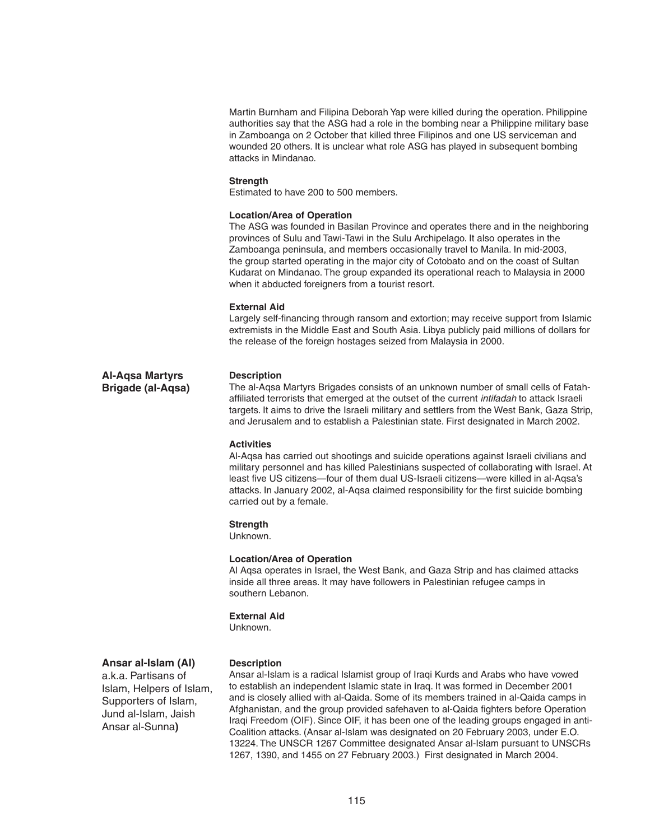Martin Burnham and Filipina Deborah Yap were killed during the operation. Philippine authorities say that the ASG had a role in the bombing near a Philippine military base in Zamboanga on 2 October that killed three Filipinos and one US serviceman and wounded 20 others. It is unclear what role ASG has played in subsequent bombing attacks in Mindanao.

## **Strength**

Estimated to have 200 to 500 members.

## **Location/Area of Operation**

The ASG was founded in Basilan Province and operates there and in the neighboring provinces of Sulu and Tawi-Tawi in the Sulu Archipelago. It also operates in the Zamboanga peninsula, and members occasionally travel to Manila. In mid-2003, the group started operating in the major city of Cotobato and on the coast of Sultan Kudarat on Mindanao. The group expanded its operational reach to Malaysia in 2000 when it abducted foreigners from a tourist resort.

## **External Aid**

Largely self-financing through ransom and extortion; may receive support from Islamic extremists in the Middle East and South Asia. Libya publicly paid millions of dollars for the release of the foreign hostages seized from Malaysia in 2000.

## **Description**

The al-Aqsa Martyrs Brigades consists of an unknown number of small cells of Fatahaffiliated terrorists that emerged at the outset of the current *intifadah* to attack Israeli targets. It aims to drive the Israeli military and settlers from the West Bank, Gaza Strip, and Jerusalem and to establish a Palestinian state. First designated in March 2002.

#### **Activities**

Al-Aqsa has carried out shootings and suicide operations against Israeli civilians and military personnel and has killed Palestinians suspected of collaborating with Israel. At least five US citizens—four of them dual US-Israeli citizens—were killed in al-Aqsa's attacks. In January 2002, al-Aqsa claimed responsibility for the first suicide bombing carried out by a female.

#### **Strength**

Unknown.

#### **Location/Area of Operation**

Al Aqsa operates in Israel, the West Bank, and Gaza Strip and has claimed attacks inside all three areas. It may have followers in Palestinian refugee camps in southern Lebanon.

# **External Aid**

Unknown.

## **Ansar al-Islam (AI)**

**Al-Aqsa Martyrs Brigade (al-Aqsa)** 

a.k.a. Partisans of Islam, Helpers of Islam, Supporters of Islam, Jund al-Islam, Jaish Ansar al-Sunna**)**

## **Description**

Ansar al-Islam is a radical Islamist group of Iraqi Kurds and Arabs who have vowed to establish an independent Islamic state in Iraq. It was formed in December 2001 and is closely allied with al-Qaida. Some of its members trained in al-Qaida camps in Afghanistan, and the group provided safehaven to al-Qaida fighters before Operation Iraqi Freedom (OIF). Since OIF, it has been one of the leading groups engaged in anti-Coalition attacks. (Ansar al-Islam was designated on 20 February 2003, under E.O. 13224. The UNSCR 1267 Committee designated Ansar al-Islam pursuant to UNSCRs 1267, 1390, and 1455 on 27 February 2003.) First designated in March 2004.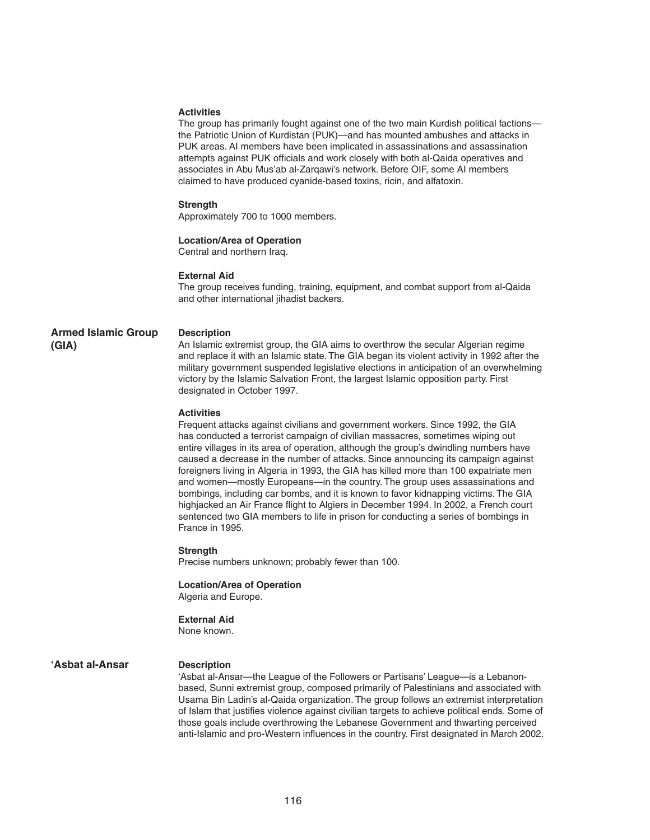The group has primarily fought against one of the two main Kurdish political factions the Patriotic Union of Kurdistan (PUK)—and has mounted ambushes and attacks in PUK areas. AI members have been implicated in assassinations and assassination attempts against PUK officials and work closely with both al-Qaida operatives and associates in Abu Mus'ab al-Zarqawi's network. Before OIF, some AI members claimed to have produced cyanide-based toxins, ricin, and alfatoxin.

#### **Strength**

Approximately 700 to 1000 members.

#### **Location/Area of Operation**

Central and northern Iraq.

#### **External Aid**

The group receives funding, training, equipment, and combat support from al-Qaida and other international jihadist backers.

## **Armed Islamic Group (GIA)**

#### **Description**

An Islamic extremist group, the GIA aims to overthrow the secular Algerian regime and replace it with an Islamic state. The GIA began its violent activity in 1992 after the military government suspended legislative elections in anticipation of an overwhelming victory by the Islamic Salvation Front, the largest Islamic opposition party. First designated in October 1997.

## **Activities**

Frequent attacks against civilians and government workers. Since 1992, the GIA has conducted a terrorist campaign of civilian massacres, sometimes wiping out entire villages in its area of operation, although the group's dwindling numbers have caused a decrease in the number of attacks. Since announcing its campaign against foreigners living in Algeria in 1993, the GIA has killed more than 100 expatriate men and women—mostly Europeans—in the country. The group uses assassinations and bombings, including car bombs, and it is known to favor kidnapping victims. The GIA highjacked an Air France flight to Algiers in December 1994. In 2002, a French court sentenced two GIA members to life in prison for conducting a series of bombings in France in 1995.

#### **Strength**

Precise numbers unknown; probably fewer than 100.

#### **Location/Area of Operation**

Algeria and Europe.

# **External Aid**

None known.

## **'Asbat al-Ansar**

## **Description**

'Asbat al-Ansar—the League of the Followers or Partisans' League—is a Lebanonbased, Sunni extremist group, composed primarily of Palestinians and associated with Usama Bin Ladin's al-Qaida organization. The group follows an extremist interpretation of Islam that justifies violence against civilian targets to achieve political ends. Some of those goals include overthrowing the Lebanese Government and thwarting perceived anti-Islamic and pro-Western influences in the country. First designated in March 2002.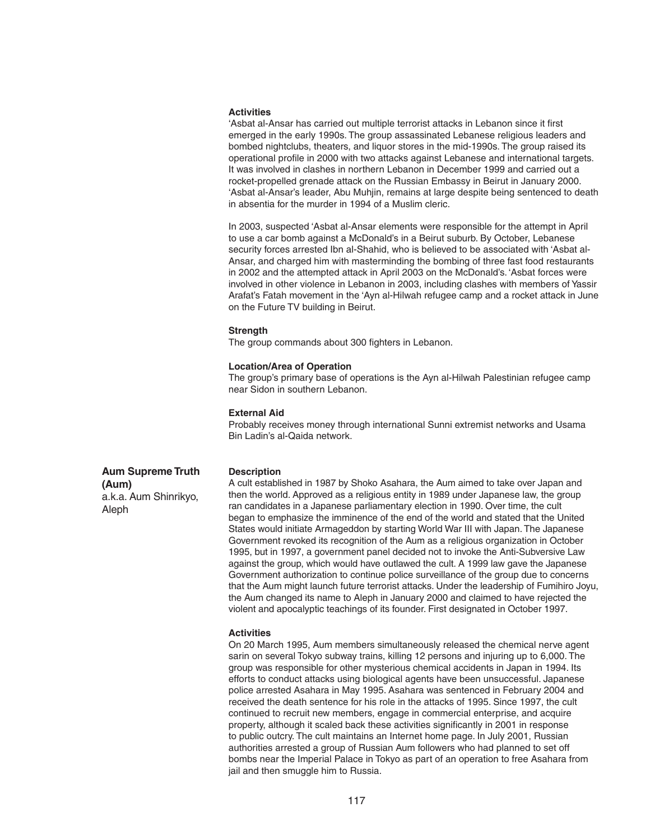'Asbat al-Ansar has carried out multiple terrorist attacks in Lebanon since it first emerged in the early 1990s. The group assassinated Lebanese religious leaders and bombed nightclubs, theaters, and liquor stores in the mid-1990s. The group raised its operational profile in 2000 with two attacks against Lebanese and international targets. It was involved in clashes in northern Lebanon in December 1999 and carried out a rocket-propelled grenade attack on the Russian Embassy in Beirut in January 2000. 'Asbat al-Ansar's leader, Abu Muhjin, remains at large despite being sentenced to death in absentia for the murder in 1994 of a Muslim cleric.

In 2003, suspected 'Asbat al-Ansar elements were responsible for the attempt in April to use a car bomb against a McDonald's in a Beirut suburb. By October, Lebanese security forces arrested Ibn al-Shahid, who is believed to be associated with 'Asbat al-Ansar, and charged him with masterminding the bombing of three fast food restaurants in 2002 and the attempted attack in April 2003 on the McDonald's. 'Asbat forces were involved in other violence in Lebanon in 2003, including clashes with members of Yassir Arafat's Fatah movement in the 'Ayn al-Hilwah refugee camp and a rocket attack in June on the Future TV building in Beirut.

## **Strength**

The group commands about 300 fighters in Lebanon.

#### **Location/Area of Operation**

The group's primary base of operations is the Ayn al-Hilwah Palestinian refugee camp near Sidon in southern Lebanon.

# **External Aid**

Probably receives money through international Sunni extremist networks and Usama Bin Ladin's al-Qaida network.

**Aum Supreme Truth (Aum)**  a.k.a. Aum Shinrikyo, Aleph

#### **Description**

A cult established in 1987 by Shoko Asahara, the Aum aimed to take over Japan and then the world. Approved as a religious entity in 1989 under Japanese law, the group ran candidates in a Japanese parliamentary election in 1990. Over time, the cult began to emphasize the imminence of the end of the world and stated that the United States would initiate Armageddon by starting World War III with Japan. The Japanese Government revoked its recognition of the Aum as a religious organization in October 1995, but in 1997, a government panel decided not to invoke the Anti-Subversive Law against the group, which would have outlawed the cult. A 1999 law gave the Japanese Government authorization to continue police surveillance of the group due to concerns that the Aum might launch future terrorist attacks. Under the leadership of Fumihiro Joyu, the Aum changed its name to Aleph in January 2000 and claimed to have rejected the violent and apocalyptic teachings of its founder. First designated in October 1997.

## **Activities**

On 20 March 1995, Aum members simultaneously released the chemical nerve agent sarin on several Tokyo subway trains, killing 12 persons and injuring up to 6,000. The group was responsible for other mysterious chemical accidents in Japan in 1994. Its efforts to conduct attacks using biological agents have been unsuccessful. Japanese police arrested Asahara in May 1995. Asahara was sentenced in February 2004 and received the death sentence for his role in the attacks of 1995. Since 1997, the cult continued to recruit new members, engage in commercial enterprise, and acquire property, although it scaled back these activities significantly in 2001 in response to public outcry. The cult maintains an Internet home page. In July 2001, Russian authorities arrested a group of Russian Aum followers who had planned to set off bombs near the Imperial Palace in Tokyo as part of an operation to free Asahara from jail and then smuggle him to Russia.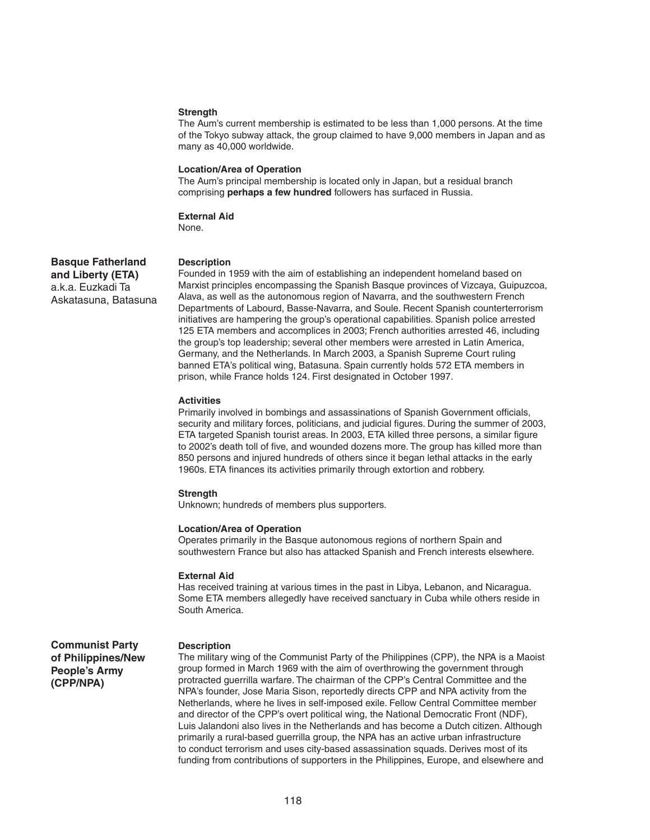#### **Strength**

The Aum's current membership is estimated to be less than 1,000 persons. At the time of the Tokyo subway attack, the group claimed to have 9,000 members in Japan and as many as 40,000 worldwide.

## **Location/Area of Operation**

The Aum's principal membership is located only in Japan, but a residual branch comprising **perhaps a few hundred** followers has surfaced in Russia.

## **External Aid**

**Description**

None.

# **Basque Fatherland and Liberty (ETA)**

a.k.a. Euzkadi Ta Askatasuna, Batasuna

Founded in 1959 with the aim of establishing an independent homeland based on Marxist principles encompassing the Spanish Basque provinces of Vizcaya, Guipuzcoa, Alava, as well as the autonomous region of Navarra, and the southwestern French Departments of Labourd, Basse-Navarra, and Soule. Recent Spanish counterterrorism initiatives are hampering the group's operational capabilities. Spanish police arrested 125 ETA members and accomplices in 2003; French authorities arrested 46, including the group's top leadership; several other members were arrested in Latin America, Germany, and the Netherlands. In March 2003, a Spanish Supreme Court ruling banned ETA's political wing, Batasuna. Spain currently holds 572 ETA members in prison, while France holds 124. First designated in October 1997.

#### **Activities**

Primarily involved in bombings and assassinations of Spanish Government officials, security and military forces, politicians, and judicial figures. During the summer of 2003, ETA targeted Spanish tourist areas. In 2003, ETA killed three persons, a similar figure to 2002's death toll of five, and wounded dozens more. The group has killed more than 850 persons and injured hundreds of others since it began lethal attacks in the early 1960s. ETA finances its activities primarily through extortion and robbery.

#### **Strength**

Unknown; hundreds of members plus supporters.

#### **Location/Area of Operation**

Operates primarily in the Basque autonomous regions of northern Spain and southwestern France but also has attacked Spanish and French interests elsewhere.

#### **External Aid**

Has received training at various times in the past in Libya, Lebanon, and Nicaragua. Some ETA members allegedly have received sanctuary in Cuba while others reside in South America.

**Communist Party of Philippines/New People's Army (CPP/NPA)**

## **Description**

The military wing of the Communist Party of the Philippines (CPP), the NPA is a Maoist group formed in March 1969 with the aim of overthrowing the government through protracted guerrilla warfare. The chairman of the CPP's Central Committee and the NPA's founder, Jose Maria Sison, reportedly directs CPP and NPA activity from the Netherlands, where he lives in self-imposed exile. Fellow Central Committee member and director of the CPP's overt political wing, the National Democratic Front (NDF), Luis Jalandoni also lives in the Netherlands and has become a Dutch citizen. Although primarily a rural-based guerrilla group, the NPA has an active urban infrastructure to conduct terrorism and uses city-based assassination squads. Derives most of its funding from contributions of supporters in the Philippines, Europe, and elsewhere and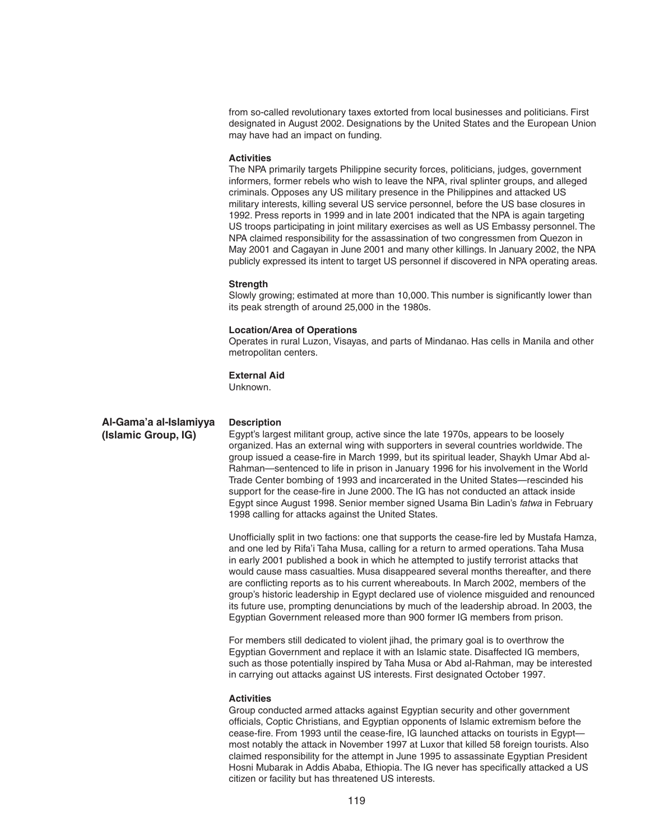from so-called revolutionary taxes extorted from local businesses and politicians. First designated in August 2002. Designations by the United States and the European Union may have had an impact on funding.

## **Activities**

The NPA primarily targets Philippine security forces, politicians, judges, government informers, former rebels who wish to leave the NPA, rival splinter groups, and alleged criminals. Opposes any US military presence in the Philippines and attacked US military interests, killing several US service personnel, before the US base closures in 1992. Press reports in 1999 and in late 2001 indicated that the NPA is again targeting US troops participating in joint military exercises as well as US Embassy personnel. The NPA claimed responsibility for the assassination of two congressmen from Quezon in May 2001 and Cagayan in June 2001 and many other killings. In January 2002, the NPA publicly expressed its intent to target US personnel if discovered in NPA operating areas.

#### **Strength**

Slowly growing; estimated at more than 10,000. This number is significantly lower than its peak strength of around 25,000 in the 1980s.

## **Location/Area of Operations**

Operates in rural Luzon, Visayas, and parts of Mindanao. Has cells in Manila and other metropolitan centers.

### **External Aid**

Unknown.

**Al-Gama'a al-Islamiyya (Islamic Group, IG)**

## **Description**

Egypt's largest militant group, active since the late 1970s, appears to be loosely organized. Has an external wing with supporters in several countries worldwide. The group issued a cease-fire in March 1999, but its spiritual leader, Shaykh Umar Abd al-Rahman—sentenced to life in prison in January 1996 for his involvement in the World Trade Center bombing of 1993 and incarcerated in the United States—rescinded his support for the cease-fire in June 2000. The IG has not conducted an attack inside Egypt since August 1998. Senior member signed Usama Bin Ladin's fatwa in February 1998 calling for attacks against the United States.

Unofficially split in two factions: one that supports the cease-fire led by Mustafa Hamza, and one led by Rifa'i Taha Musa, calling for a return to armed operations. Taha Musa in early 2001 published a book in which he attempted to justify terrorist attacks that would cause mass casualties. Musa disappeared several months thereafter, and there are conflicting reports as to his current whereabouts. In March 2002, members of the group's historic leadership in Egypt declared use of violence misguided and renounced its future use, prompting denunciations by much of the leadership abroad. In 2003, the Egyptian Government released more than 900 former IG members from prison.

For members still dedicated to violent jihad, the primary goal is to overthrow the Egyptian Government and replace it with an Islamic state. Disaffected IG members, such as those potentially inspired by Taha Musa or Abd al-Rahman, may be interested in carrying out attacks against US interests. First designated October 1997.

## **Activities**

Group conducted armed attacks against Egyptian security and other government officials, Coptic Christians, and Egyptian opponents of Islamic extremism before the cease-fire. From 1993 until the cease-fire, IG launched attacks on tourists in Egyptmost notably the attack in November 1997 at Luxor that killed 58 foreign tourists. Also claimed responsibility for the attempt in June 1995 to assassinate Egyptian President Hosni Mubarak in Addis Ababa, Ethiopia. The IG never has specifically attacked a US citizen or facility but has threatened US interests.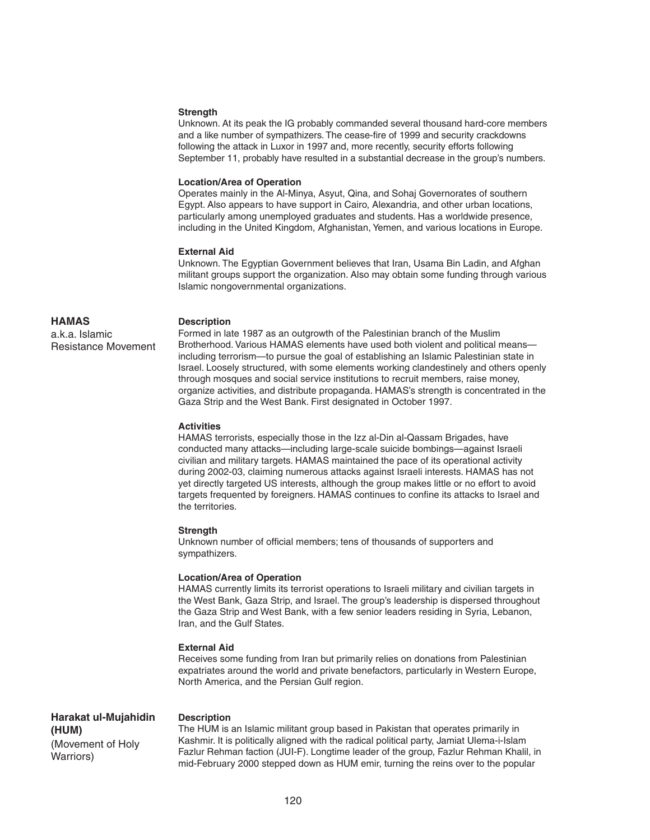#### **Strength**

Unknown. At its peak the IG probably commanded several thousand hard-core members and a like number of sympathizers. The cease-fire of 1999 and security crackdowns following the attack in Luxor in 1997 and, more recently, security efforts following September 11, probably have resulted in a substantial decrease in the group's numbers.

#### **Location/Area of Operation**

Operates mainly in the Al-Minya, Asyut, Qina, and Sohaj Governorates of southern Egypt. Also appears to have support in Cairo, Alexandria, and other urban locations, particularly among unemployed graduates and students. Has a worldwide presence, including in the United Kingdom, Afghanistan, Yemen, and various locations in Europe.

#### **External Aid**

**Description**

Unknown. The Egyptian Government believes that Iran, Usama Bin Ladin, and Afghan militant groups support the organization. Also may obtain some funding through various Islamic nongovernmental organizations.

# **HAMAS**

a.k.a. Islamic Resistance Movement

Formed in late 1987 as an outgrowth of the Palestinian branch of the Muslim Brotherhood. Various HAMAS elements have used both violent and political means including terrorism—to pursue the goal of establishing an Islamic Palestinian state in Israel. Loosely structured, with some elements working clandestinely and others openly through mosques and social service institutions to recruit members, raise money, organize activities, and distribute propaganda. HAMAS's strength is concentrated in the Gaza Strip and the West Bank. First designated in October 1997.

#### **Activities**

HAMAS terrorists, especially those in the Izz al-Din al-Qassam Brigades, have conducted many attacks—including large-scale suicide bombings—against Israeli civilian and military targets. HAMAS maintained the pace of its operational activity during 2002-03, claiming numerous attacks against Israeli interests. HAMAS has not yet directly targeted US interests, although the group makes little or no effort to avoid targets frequented by foreigners. HAMAS continues to confine its attacks to Israel and the territories.

## **Strength**

Unknown number of official members; tens of thousands of supporters and sympathizers.

#### **Location/Area of Operation**

HAMAS currently limits its terrorist operations to Israeli military and civilian targets in the West Bank, Gaza Strip, and Israel. The group's leadership is dispersed throughout the Gaza Strip and West Bank, with a few senior leaders residing in Syria, Lebanon, Iran, and the Gulf States.

## **External Aid**

**Description**

Receives some funding from Iran but primarily relies on donations from Palestinian expatriates around the world and private benefactors, particularly in Western Europe, North America, and the Persian Gulf region.

# **Harakat ul-Mujahidin (HUM)** (Movement of Holy Warriors)

The HUM is an Islamic militant group based in Pakistan that operates primarily in Kashmir. It is politically aligned with the radical political party, Jamiat Ulema-i-Islam Fazlur Rehman faction (JUI-F). Longtime leader of the group, Fazlur Rehman Khalil, in mid-February 2000 stepped down as HUM emir, turning the reins over to the popular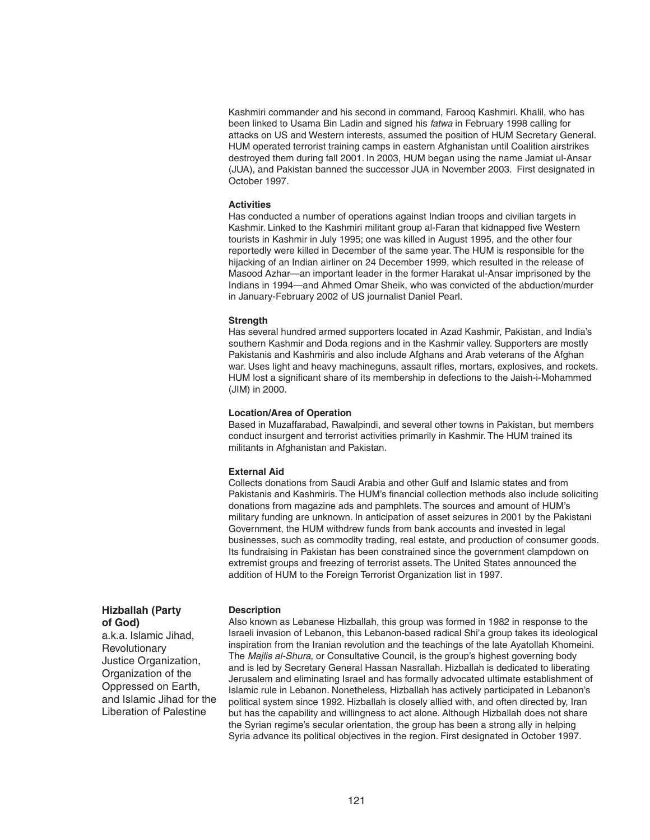Kashmiri commander and his second in command, Farooq Kashmiri. Khalil, who has been linked to Usama Bin Ladin and signed his fatwa in February 1998 calling for attacks on US and Western interests, assumed the position of HUM Secretary General. HUM operated terrorist training camps in eastern Afghanistan until Coalition airstrikes destroyed them during fall 2001. In 2003, HUM began using the name Jamiat ul-Ansar (JUA), and Pakistan banned the successor JUA in November 2003. First designated in October 1997.

#### **Activities**

Has conducted a number of operations against Indian troops and civilian targets in Kashmir. Linked to the Kashmiri militant group al-Faran that kidnapped five Western tourists in Kashmir in July 1995; one was killed in August 1995, and the other four reportedly were killed in December of the same year. The HUM is responsible for the hijacking of an Indian airliner on 24 December 1999, which resulted in the release of Masood Azhar—an important leader in the former Harakat ul-Ansar imprisoned by the Indians in 1994—and Ahmed Omar Sheik, who was convicted of the abduction/murder in January-February 2002 of US journalist Daniel Pearl.

## **Strength**

Has several hundred armed supporters located in Azad Kashmir, Pakistan, and India's southern Kashmir and Doda regions and in the Kashmir valley. Supporters are mostly Pakistanis and Kashmiris and also include Afghans and Arab veterans of the Afghan war. Uses light and heavy machineguns, assault rifles, mortars, explosives, and rockets. HUM lost a significant share of its membership in defections to the Jaish-i-Mohammed (JIM) in 2000.

#### **Location/Area of Operation**

Based in Muzaffarabad, Rawalpindi, and several other towns in Pakistan, but members conduct insurgent and terrorist activities primarily in Kashmir. The HUM trained its militants in Afghanistan and Pakistan.

## **External Aid**

Collects donations from Saudi Arabia and other Gulf and Islamic states and from Pakistanis and Kashmiris. The HUM's financial collection methods also include soliciting donations from magazine ads and pamphlets. The sources and amount of HUM's military funding are unknown. In anticipation of asset seizures in 2001 by the Pakistani Government, the HUM withdrew funds from bank accounts and invested in legal businesses, such as commodity trading, real estate, and production of consumer goods. Its fundraising in Pakistan has been constrained since the government clampdown on extremist groups and freezing of terrorist assets. The United States announced the addition of HUM to the Foreign Terrorist Organization list in 1997.

# **Hizballah (Party of God)**

**Description** 

a.k.a. Islamic Jihad, **Revolutionary** Justice Organization, Organization of the Oppressed on Earth, and Islamic Jihad for the Liberation of Palestine

Also known as Lebanese Hizballah, this group was formed in 1982 in response to the Israeli invasion of Lebanon, this Lebanon-based radical Shi'a group takes its ideological inspiration from the Iranian revolution and the teachings of the late Ayatollah Khomeini. The Majlis al-Shura, or Consultative Council, is the group's highest governing body and is led by Secretary General Hassan Nasrallah. Hizballah is dedicated to liberating Jerusalem and eliminating Israel and has formally advocated ultimate establishment of Islamic rule in Lebanon. Nonetheless, Hizballah has actively participated in Lebanon's political system since 1992. Hizballah is closely allied with, and often directed by, Iran but has the capability and willingness to act alone. Although Hizballah does not share the Syrian regime's secular orientation, the group has been a strong ally in helping Syria advance its political objectives in the region. First designated in October 1997.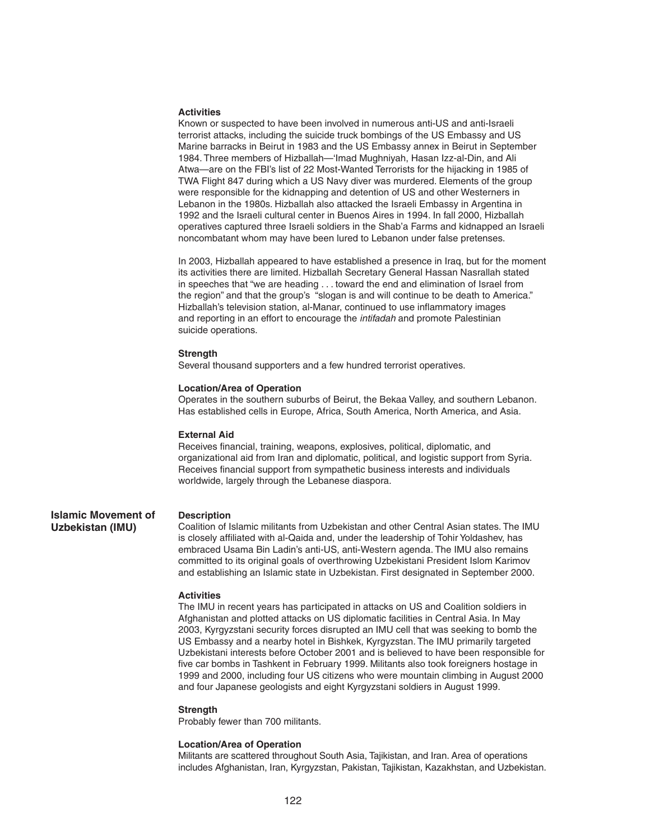Known or suspected to have been involved in numerous anti-US and anti-Israeli terrorist attacks, including the suicide truck bombings of the US Embassy and US Marine barracks in Beirut in 1983 and the US Embassy annex in Beirut in September 1984. Three members of Hizballah—'Imad Mughniyah, Hasan Izz-al-Din, and Ali Atwa—are on the FBI's list of 22 Most-Wanted Terrorists for the hijacking in 1985 of TWA Flight 847 during which a US Navy diver was murdered. Elements of the group were responsible for the kidnapping and detention of US and other Westerners in Lebanon in the 1980s. Hizballah also attacked the Israeli Embassy in Argentina in 1992 and the Israeli cultural center in Buenos Aires in 1994. In fall 2000, Hizballah operatives captured three Israeli soldiers in the Shab'a Farms and kidnapped an Israeli noncombatant whom may have been lured to Lebanon under false pretenses.

In 2003, Hizballah appeared to have established a presence in Iraq, but for the moment its activities there are limited. Hizballah Secretary General Hassan Nasrallah stated in speeches that "we are heading . . . toward the end and elimination of Israel from the region" and that the group's "slogan is and will continue to be death to America." Hizballah's television station, al-Manar, continued to use inflammatory images and reporting in an effort to encourage the intifadah and promote Palestinian suicide operations.

#### **Strength**

Several thousand supporters and a few hundred terrorist operatives.

#### **Location/Area of Operation**

Operates in the southern suburbs of Beirut, the Bekaa Valley, and southern Lebanon. Has established cells in Europe, Africa, South America, North America, and Asia.

#### **External Aid**

Receives financial, training, weapons, explosives, political, diplomatic, and organizational aid from Iran and diplomatic, political, and logistic support from Syria. Receives financial support from sympathetic business interests and individuals worldwide, largely through the Lebanese diaspora.

**Islamic Movement of Uzbekistan (IMU)**

## **Description**

Coalition of Islamic militants from Uzbekistan and other Central Asian states. The IMU is closely affiliated with al-Qaida and, under the leadership of Tohir Yoldashev, has embraced Usama Bin Ladin's anti-US, anti-Western agenda. The IMU also remains committed to its original goals of overthrowing Uzbekistani President Islom Karimov and establishing an Islamic state in Uzbekistan. First designated in September 2000.

#### **Activities**

The IMU in recent years has participated in attacks on US and Coalition soldiers in Afghanistan and plotted attacks on US diplomatic facilities in Central Asia. In May 2003, Kyrgyzstani security forces disrupted an IMU cell that was seeking to bomb the US Embassy and a nearby hotel in Bishkek, Kyrgyzstan. The IMU primarily targeted Uzbekistani interests before October 2001 and is believed to have been responsible for five car bombs in Tashkent in February 1999. Militants also took foreigners hostage in 1999 and 2000, including four US citizens who were mountain climbing in August 2000 and four Japanese geologists and eight Kyrgyzstani soldiers in August 1999.

#### **Strength**

Probably fewer than 700 militants.

## **Location/Area of Operation**

Militants are scattered throughout South Asia, Tajikistan, and Iran. Area of operations includes Afghanistan, Iran, Kyrgyzstan, Pakistan, Tajikistan, Kazakhstan, and Uzbekistan.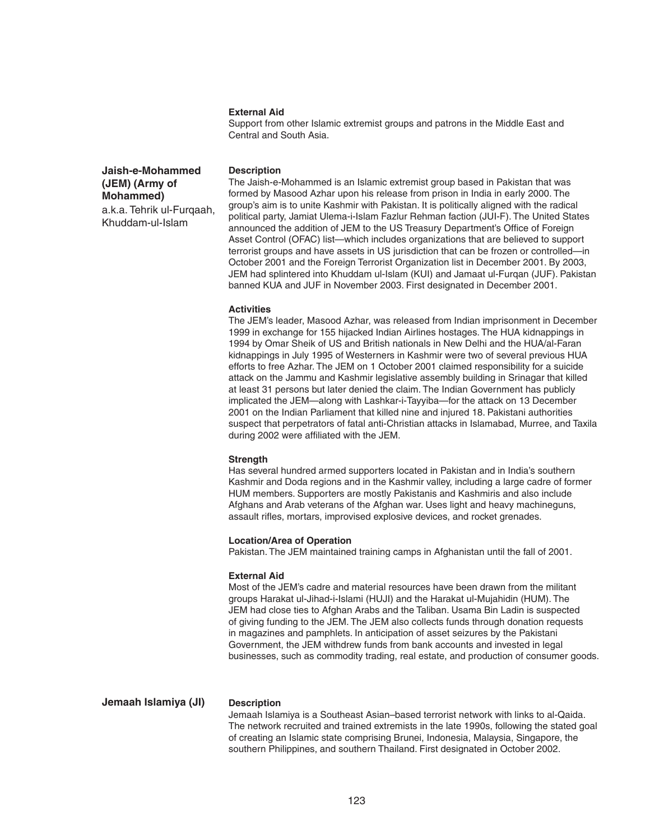#### **External Aid**

Support from other Islamic extremist groups and patrons in the Middle East and Central and South Asia.

# **Jaish-e-Mohammed (JEM) (Army of Mohammed)**

a.k.a. Tehrik ul-Furqaah, Khuddam-ul-Islam

#### **Description**

The Jaish-e-Mohammed is an Islamic extremist group based in Pakistan that was formed by Masood Azhar upon his release from prison in India in early 2000. The group's aim is to unite Kashmir with Pakistan. It is politically aligned with the radical political party, Jamiat Ulema-i-Islam Fazlur Rehman faction (JUI-F). The United States announced the addition of JEM to the US Treasury Department's Office of Foreign Asset Control (OFAC) list—which includes organizations that are believed to support terrorist groups and have assets in US jurisdiction that can be frozen or controlled—in October 2001 and the Foreign Terrorist Organization list in December 2001. By 2003, JEM had splintered into Khuddam ul-Islam (KUI) and Jamaat ul-Furqan (JUF). Pakistan banned KUA and JUF in November 2003. First designated in December 2001.

## **Activities**

The JEM's leader, Masood Azhar, was released from Indian imprisonment in December 1999 in exchange for 155 hijacked Indian Airlines hostages. The HUA kidnappings in 1994 by Omar Sheik of US and British nationals in New Delhi and the HUA/al-Faran kidnappings in July 1995 of Westerners in Kashmir were two of several previous HUA efforts to free Azhar. The JEM on 1 October 2001 claimed responsibility for a suicide attack on the Jammu and Kashmir legislative assembly building in Srinagar that killed at least 31 persons but later denied the claim. The Indian Government has publicly implicated the JEM—along with Lashkar-i-Tayyiba—for the attack on 13 December 2001 on the Indian Parliament that killed nine and injured 18. Pakistani authorities suspect that perpetrators of fatal anti-Christian attacks in Islamabad, Murree, and Taxila during 2002 were affiliated with the JEM.

## **Strength**

Has several hundred armed supporters located in Pakistan and in India's southern Kashmir and Doda regions and in the Kashmir valley, including a large cadre of former HUM members. Supporters are mostly Pakistanis and Kashmiris and also include Afghans and Arab veterans of the Afghan war. Uses light and heavy machineguns, assault rifles, mortars, improvised explosive devices, and rocket grenades.

## **Location/Area of Operation**

Pakistan. The JEM maintained training camps in Afghanistan until the fall of 2001.

#### **External Aid**

Most of the JEM's cadre and material resources have been drawn from the militant groups Harakat ul-Jihad-i-Islami (HUJI) and the Harakat ul-Mujahidin (HUM). The JEM had close ties to Afghan Arabs and the Taliban. Usama Bin Ladin is suspected of giving funding to the JEM. The JEM also collects funds through donation requests in magazines and pamphlets. In anticipation of asset seizures by the Pakistani Government, the JEM withdrew funds from bank accounts and invested in legal businesses, such as commodity trading, real estate, and production of consumer goods.

## **Jemaah Islamiya (JI)**

## **Description**

Jemaah Islamiya is a Southeast Asian–based terrorist network with links to al-Qaida. The network recruited and trained extremists in the late 1990s, following the stated goal of creating an Islamic state comprising Brunei, Indonesia, Malaysia, Singapore, the southern Philippines, and southern Thailand. First designated in October 2002.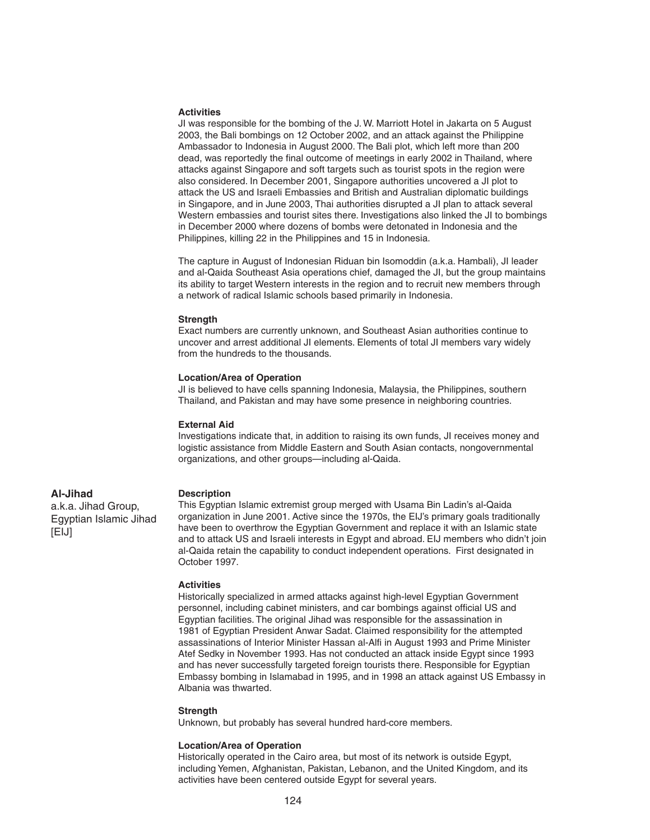JI was responsible for the bombing of the J. W. Marriott Hotel in Jakarta on 5 August 2003, the Bali bombings on 12 October 2002, and an attack against the Philippine Ambassador to Indonesia in August 2000. The Bali plot, which left more than 200 dead, was reportedly the final outcome of meetings in early 2002 in Thailand, where attacks against Singapore and soft targets such as tourist spots in the region were also considered. In December 2001, Singapore authorities uncovered a JI plot to attack the US and Israeli Embassies and British and Australian diplomatic buildings in Singapore, and in June 2003, Thai authorities disrupted a JI plan to attack several Western embassies and tourist sites there. Investigations also linked the JI to bombings in December 2000 where dozens of bombs were detonated in Indonesia and the Philippines, killing 22 in the Philippines and 15 in Indonesia.

The capture in August of Indonesian Riduan bin Isomoddin (a.k.a. Hambali), JI leader and al-Qaida Southeast Asia operations chief, damaged the JI, but the group maintains its ability to target Western interests in the region and to recruit new members through a network of radical Islamic schools based primarily in Indonesia.

#### **Strength**

Exact numbers are currently unknown, and Southeast Asian authorities continue to uncover and arrest additional JI elements. Elements of total JI members vary widely from the hundreds to the thousands.

#### **Location/Area of Operation**

JI is believed to have cells spanning Indonesia, Malaysia, the Philippines, southern Thailand, and Pakistan and may have some presence in neighboring countries.

#### **External Aid**

Investigations indicate that, in addition to raising its own funds, JI receives money and logistic assistance from Middle Eastern and South Asian contacts, nongovernmental organizations, and other groups—including al-Qaida.

## **Al-Jihad**

a.k.a. Jihad Group, Egyptian Islamic Jihad [EIJ]

#### **Description**

This Egyptian Islamic extremist group merged with Usama Bin Ladin's al-Qaida organization in June 2001. Active since the 1970s, the EIJ's primary goals traditionally have been to overthrow the Egyptian Government and replace it with an Islamic state and to attack US and Israeli interests in Egypt and abroad. EIJ members who didn't join al-Qaida retain the capability to conduct independent operations. First designated in October 1997.

## **Activities**

Historically specialized in armed attacks against high-level Egyptian Government personnel, including cabinet ministers, and car bombings against official US and Egyptian facilities. The original Jihad was responsible for the assassination in 1981 of Egyptian President Anwar Sadat. Claimed responsibility for the attempted assassinations of Interior Minister Hassan al-Alfi in August 1993 and Prime Minister Atef Sedky in November 1993. Has not conducted an attack inside Egypt since 1993 and has never successfully targeted foreign tourists there. Responsible for Egyptian Embassy bombing in Islamabad in 1995, and in 1998 an attack against US Embassy in Albania was thwarted.

# **Strength**

Unknown, but probably has several hundred hard-core members.

## **Location/Area of Operation**

Historically operated in the Cairo area, but most of its network is outside Egypt, including Yemen, Afghanistan, Pakistan, Lebanon, and the United Kingdom, and its activities have been centered outside Egypt for several years.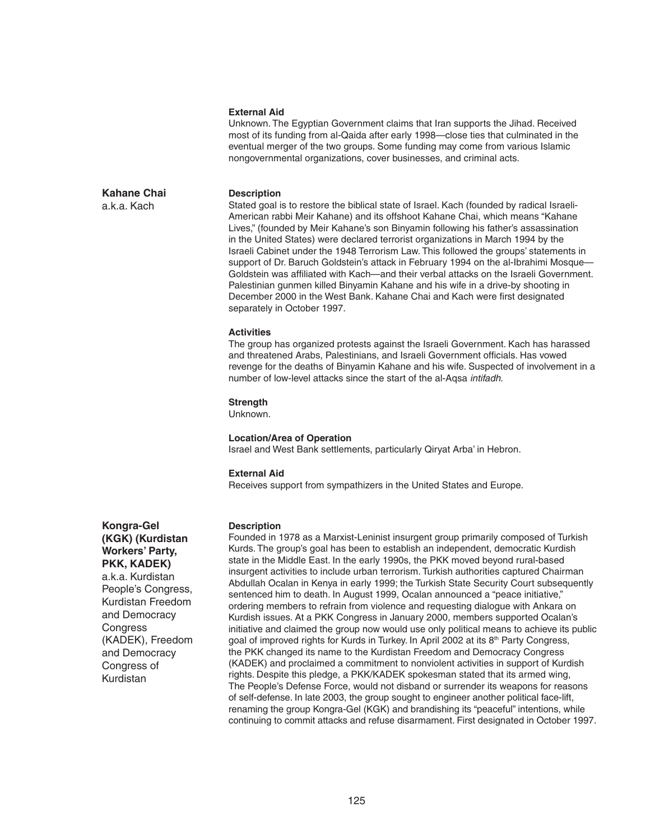## **External Aid**

Unknown. The Egyptian Government claims that Iran supports the Jihad. Received most of its funding from al-Qaida after early 1998—close ties that culminated in the eventual merger of the two groups. Some funding may come from various Islamic nongovernmental organizations, cover businesses, and criminal acts.

## **Kahane Chai** a.k.a. Kach

# **Description**

Stated goal is to restore the biblical state of Israel. Kach (founded by radical Israeli-American rabbi Meir Kahane) and its offshoot Kahane Chai, which means "Kahane Lives," (founded by Meir Kahane's son Binyamin following his father's assassination in the United States) were declared terrorist organizations in March 1994 by the Israeli Cabinet under the 1948 Terrorism Law. This followed the groups' statements in support of Dr. Baruch Goldstein's attack in February 1994 on the al-Ibrahimi Mosque-Goldstein was affiliated with Kach—and their verbal attacks on the Israeli Government. Palestinian gunmen killed Binyamin Kahane and his wife in a drive-by shooting in December 2000 in the West Bank. Kahane Chai and Kach were first designated separately in October 1997.

## **Activities**

The group has organized protests against the Israeli Government. Kach has harassed and threatened Arabs, Palestinians, and Israeli Government officials. Has vowed revenge for the deaths of Binyamin Kahane and his wife. Suspected of involvement in a number of low-level attacks since the start of the al-Aqsa intifadh.

#### **Strength**

Unknown.

## **Location/Area of Operation**

Israel and West Bank settlements, particularly Qiryat Arba' in Hebron.

#### **External Aid**

Receives support from sympathizers in the United States and Europe.

## **Description**

Founded in 1978 as a Marxist-Leninist insurgent group primarily composed of Turkish Kurds. The group's goal has been to establish an independent, democratic Kurdish state in the Middle East. In the early 1990s, the PKK moved beyond rural-based insurgent activities to include urban terrorism. Turkish authorities captured Chairman Abdullah Ocalan in Kenya in early 1999; the Turkish State Security Court subsequently sentenced him to death. In August 1999, Ocalan announced a "peace initiative," ordering members to refrain from violence and requesting dialogue with Ankara on Kurdish issues. At a PKK Congress in January 2000, members supported Ocalan's initiative and claimed the group now would use only political means to achieve its public goal of improved rights for Kurds in Turkey. In April 2002 at its 8<sup>th</sup> Party Congress, the PKK changed its name to the Kurdistan Freedom and Democracy Congress (KADEK) and proclaimed a commitment to nonviolent activities in support of Kurdish rights. Despite this pledge, a PKK/KADEK spokesman stated that its armed wing, The People's Defense Force, would not disband or surrender its weapons for reasons of self-defense. In late 2003, the group sought to engineer another political face-lift, renaming the group Kongra-Gel (KGK) and brandishing its "peaceful" intentions, while continuing to commit attacks and refuse disarmament. First designated in October 1997.

**Kongra-Gel (KGK) (Kurdistan Workers' Party, PKK, KADEK)** a.k.a. Kurdistan People's Congress, Kurdistan Freedom and Democracy **Congress** (KADEK), Freedom and Democracy Congress of Kurdistan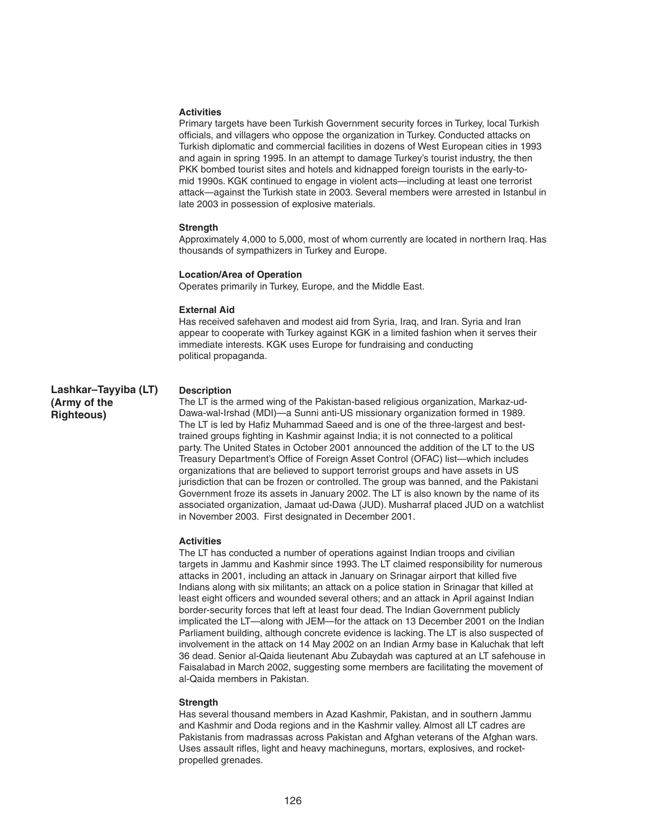Primary targets have been Turkish Government security forces in Turkey, local Turkish officials, and villagers who oppose the organization in Turkey. Conducted attacks on Turkish diplomatic and commercial facilities in dozens of West European cities in 1993 and again in spring 1995. In an attempt to damage Turkey's tourist industry, the then PKK bombed tourist sites and hotels and kidnapped foreign tourists in the early-tomid 1990s. KGK continued to engage in violent acts—including at least one terrorist attack—against the Turkish state in 2003. Several members were arrested in Istanbul in late 2003 in possession of explosive materials.

#### **Strength**

Approximately 4,000 to 5,000, most of whom currently are located in northern Iraq. Has thousands of sympathizers in Turkey and Europe.

#### **Location/Area of Operation**

Operates primarily in Turkey, Europe, and the Middle East.

## **External Aid**

Has received safehaven and modest aid from Syria, Iraq, and Iran. Syria and Iran appear to cooperate with Turkey against KGK in a limited fashion when it serves their immediate interests. KGK uses Europe for fundraising and conducting political propaganda.

**Lashkar–Tayyiba (LT) (Army of the Righteous)**

#### **Description**

The LT is the armed wing of the Pakistan-based religious organization, Markaz-ud-Dawa-wal-Irshad (MDI)—a Sunni anti-US missionary organization formed in 1989. The LT is led by Hafiz Muhammad Saeed and is one of the three-largest and besttrained groups fighting in Kashmir against India; it is not connected to a political party. The United States in October 2001 announced the addition of the LT to the US Treasury Department's Office of Foreign Asset Control (OFAC) list—which includes organizations that are believed to support terrorist groups and have assets in US jurisdiction that can be frozen or controlled. The group was banned, and the Pakistani Government froze its assets in January 2002. The LT is also known by the name of its associated organization, Jamaat ud-Dawa (JUD). Musharraf placed JUD on a watchlist in November 2003. First designated in December 2001.

## **Activities**

The LT has conducted a number of operations against Indian troops and civilian targets in Jammu and Kashmir since 1993. The LT claimed responsibility for numerous attacks in 2001, including an attack in January on Srinagar airport that killed five Indians along with six militants; an attack on a police station in Srinagar that killed at least eight officers and wounded several others; and an attack in April against Indian border-security forces that left at least four dead. The Indian Government publicly implicated the LT—along with JEM—for the attack on 13 December 2001 on the Indian Parliament building, although concrete evidence is lacking. The LT is also suspected of involvement in the attack on 14 May 2002 on an Indian Army base in Kaluchak that left 36 dead. Senior al-Qaida lieutenant Abu Zubaydah was captured at an LT safehouse in Faisalabad in March 2002, suggesting some members are facilitating the movement of al-Qaida members in Pakistan.

## **Strength**

Has several thousand members in Azad Kashmir, Pakistan, and in southern Jammu and Kashmir and Doda regions and in the Kashmir valley. Almost all LT cadres are Pakistanis from madrassas across Pakistan and Afghan veterans of the Afghan wars. Uses assault rifles, light and heavy machineguns, mortars, explosives, and rocketpropelled grenades.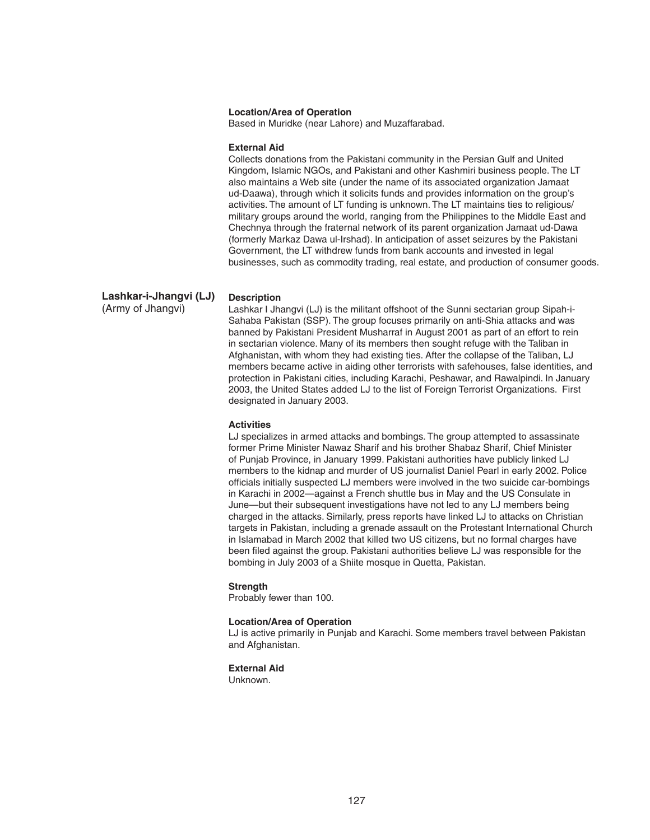## **Location/Area of Operation**

Based in Muridke (near Lahore) and Muzaffarabad.

#### **External Aid**

Collects donations from the Pakistani community in the Persian Gulf and United Kingdom, Islamic NGOs, and Pakistani and other Kashmiri business people. The LT also maintains a Web site (under the name of its associated organization Jamaat ud-Daawa), through which it solicits funds and provides information on the group's activities. The amount of LT funding is unknown. The LT maintains ties to religious/ military groups around the world, ranging from the Philippines to the Middle East and Chechnya through the fraternal network of its parent organization Jamaat ud-Dawa (formerly Markaz Dawa ul-Irshad). In anticipation of asset seizures by the Pakistani Government, the LT withdrew funds from bank accounts and invested in legal businesses, such as commodity trading, real estate, and production of consumer goods.

# **Lashkar-i-Jhangvi (LJ)**

(Army of Jhangvi)

## **Description**

Lashkar I Jhangvi (LJ) is the militant offshoot of the Sunni sectarian group Sipah-i-Sahaba Pakistan (SSP). The group focuses primarily on anti-Shia attacks and was banned by Pakistani President Musharraf in August 2001 as part of an effort to rein in sectarian violence. Many of its members then sought refuge with the Taliban in Afghanistan, with whom they had existing ties. After the collapse of the Taliban, LJ members became active in aiding other terrorists with safehouses, false identities, and protection in Pakistani cities, including Karachi, Peshawar, and Rawalpindi. In January 2003, the United States added LJ to the list of Foreign Terrorist Organizations. First designated in January 2003.

## **Activities**

LJ specializes in armed attacks and bombings. The group attempted to assassinate former Prime Minister Nawaz Sharif and his brother Shabaz Sharif, Chief Minister of Punjab Province, in January 1999. Pakistani authorities have publicly linked LJ members to the kidnap and murder of US journalist Daniel Pearl in early 2002. Police officials initially suspected LJ members were involved in the two suicide car-bombings in Karachi in 2002—against a French shuttle bus in May and the US Consulate in June—but their subsequent investigations have not led to any LJ members being charged in the attacks. Similarly, press reports have linked LJ to attacks on Christian targets in Pakistan, including a grenade assault on the Protestant International Church in Islamabad in March 2002 that killed two US citizens, but no formal charges have been filed against the group. Pakistani authorities believe LJ was responsible for the bombing in July 2003 of a Shiite mosque in Quetta, Pakistan.

## **Strength**

Probably fewer than 100.

## **Location/Area of Operation**

LJ is active primarily in Punjab and Karachi. Some members travel between Pakistan and Afghanistan.

#### **External Aid**  Unknown.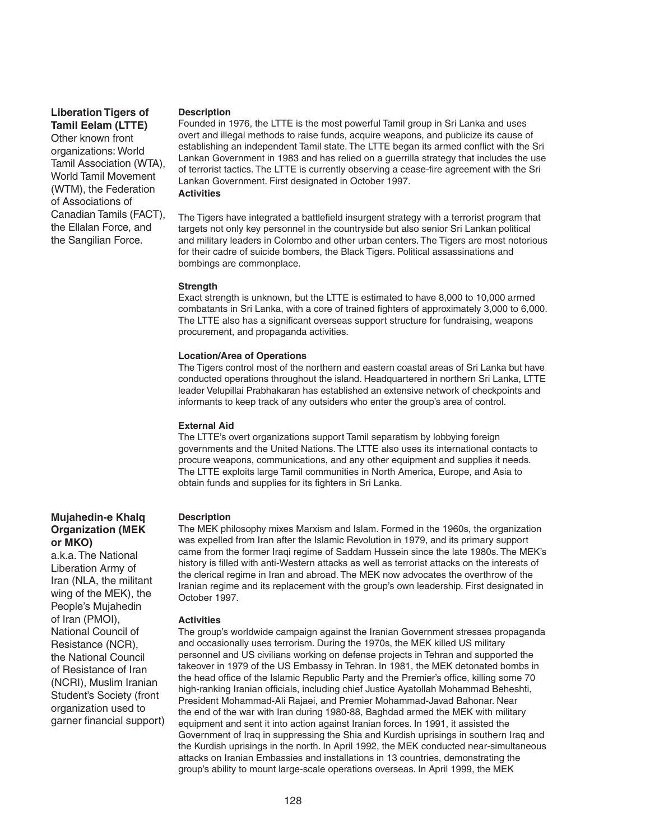# **Liberation Tigers of Tamil Eelam (LTTE)**

Other known front organizations: World Tamil Association (WTA), World Tamil Movement (WTM), the Federation of Associations of Canadian Tamils (FACT), the Ellalan Force, and the Sangilian Force.

#### **Description**

Founded in 1976, the LTTE is the most powerful Tamil group in Sri Lanka and uses overt and illegal methods to raise funds, acquire weapons, and publicize its cause of establishing an independent Tamil state. The LTTE began its armed conflict with the Sri Lankan Government in 1983 and has relied on a guerrilla strategy that includes the use of terrorist tactics. The LTTE is currently observing a cease-fire agreement with the Sri Lankan Government. First designated in October 1997. **Activities** 

The Tigers have integrated a battlefield insurgent strategy with a terrorist program that targets not only key personnel in the countryside but also senior Sri Lankan political and military leaders in Colombo and other urban centers. The Tigers are most notorious for their cadre of suicide bombers, the Black Tigers. Political assassinations and bombings are commonplace.

## **Strength**

Exact strength is unknown, but the LTTE is estimated to have 8,000 to 10,000 armed combatants in Sri Lanka, with a core of trained fighters of approximately 3,000 to 6,000. The LTTE also has a significant overseas support structure for fundraising, weapons procurement, and propaganda activities.

# **Location/Area of Operations**

The Tigers control most of the northern and eastern coastal areas of Sri Lanka but have conducted operations throughout the island. Headquartered in northern Sri Lanka, LTTE leader Velupillai Prabhakaran has established an extensive network of checkpoints and informants to keep track of any outsiders who enter the group's area of control.

## **External Aid**

The LTTE's overt organizations support Tamil separatism by lobbying foreign governments and the United Nations. The LTTE also uses its international contacts to procure weapons, communications, and any other equipment and supplies it needs. The LTTE exploits large Tamil communities in North America, Europe, and Asia to obtain funds and supplies for its fighters in Sri Lanka.

# **Description**

The MEK philosophy mixes Marxism and Islam. Formed in the 1960s, the organization was expelled from Iran after the Islamic Revolution in 1979, and its primary support came from the former Iraqi regime of Saddam Hussein since the late 1980s. The MEK's history is filled with anti-Western attacks as well as terrorist attacks on the interests of the clerical regime in Iran and abroad. The MEK now advocates the overthrow of the Iranian regime and its replacement with the group's own leadership. First designated in October 1997.

## **Activities**

The group's worldwide campaign against the Iranian Government stresses propaganda and occasionally uses terrorism. During the 1970s, the MEK killed US military personnel and US civilians working on defense projects in Tehran and supported the takeover in 1979 of the US Embassy in Tehran. In 1981, the MEK detonated bombs in the head office of the Islamic Republic Party and the Premier's office, killing some 70 high-ranking Iranian officials, including chief Justice Ayatollah Mohammad Beheshti, President Mohammad-Ali Rajaei, and Premier Mohammad-Javad Bahonar. Near the end of the war with Iran during 1980-88, Baghdad armed the MEK with military equipment and sent it into action against Iranian forces. In 1991, it assisted the Government of Iraq in suppressing the Shia and Kurdish uprisings in southern Iraq and the Kurdish uprisings in the north. In April 1992, the MEK conducted near-simultaneous attacks on Iranian Embassies and installations in 13 countries, demonstrating the group's ability to mount large-scale operations overseas. In April 1999, the MEK

# **Mujahedin-e Khalq Organization (MEK or MKO)** a.k.a. The National

Liberation Army of Iran (NLA, the militant wing of the MEK), the People's Mujahedin of Iran (PMOI), National Council of Resistance (NCR), the National Council of Resistance of Iran (NCRI), Muslim Iranian Student's Society (front organization used to garner financial support)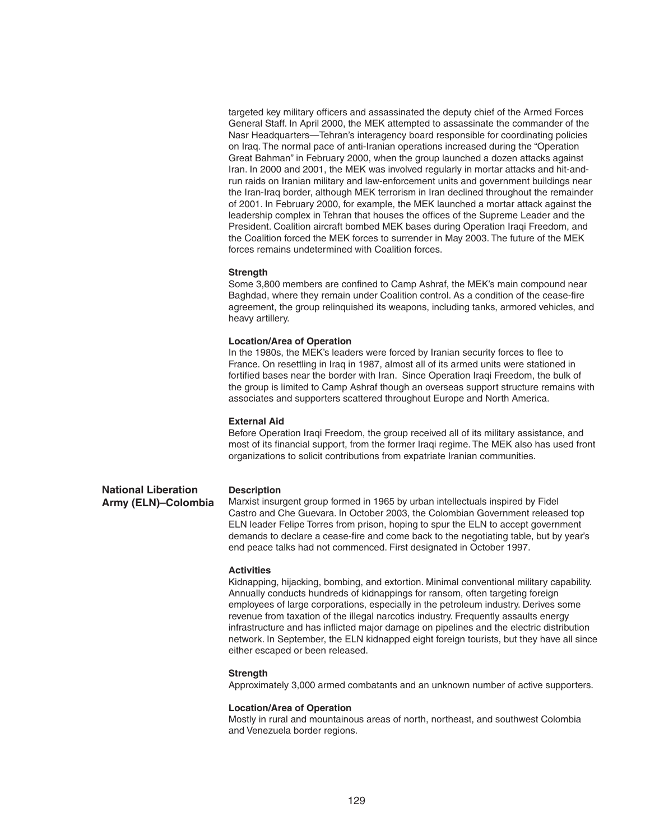targeted key military officers and assassinated the deputy chief of the Armed Forces General Staff. In April 2000, the MEK attempted to assassinate the commander of the Nasr Headquarters—Tehran's interagency board responsible for coordinating policies on Iraq. The normal pace of anti-Iranian operations increased during the "Operation Great Bahman" in February 2000, when the group launched a dozen attacks against Iran. In 2000 and 2001, the MEK was involved regularly in mortar attacks and hit-andrun raids on Iranian military and law-enforcement units and government buildings near the Iran-Iraq border, although MEK terrorism in Iran declined throughout the remainder of 2001. In February 2000, for example, the MEK launched a mortar attack against the leadership complex in Tehran that houses the offices of the Supreme Leader and the President. Coalition aircraft bombed MEK bases during Operation Iraqi Freedom, and the Coalition forced the MEK forces to surrender in May 2003. The future of the MEK forces remains undetermined with Coalition forces.

## **Strength**

Some 3,800 members are confined to Camp Ashraf, the MEK's main compound near Baghdad, where they remain under Coalition control. As a condition of the cease-fire agreement, the group relinquished its weapons, including tanks, armored vehicles, and heavy artillery.

#### **Location/Area of Operation**

In the 1980s, the MEK's leaders were forced by Iranian security forces to flee to France. On resettling in Iraq in 1987, almost all of its armed units were stationed in fortified bases near the border with Iran. Since Operation Iraqi Freedom, the bulk of the group is limited to Camp Ashraf though an overseas support structure remains with associates and supporters scattered throughout Europe and North America.

## **External Aid**

Before Operation Iraqi Freedom, the group received all of its military assistance, and most of its financial support, from the former Iraqi regime. The MEK also has used front organizations to solicit contributions from expatriate Iranian communities.

**National Liberation** 

# **Description**

Marxist insurgent group formed in 1965 by urban intellectuals inspired by Fidel Castro and Che Guevara. In October 2003, the Colombian Government released top ELN leader Felipe Torres from prison, hoping to spur the ELN to accept government demands to declare a cease-fire and come back to the negotiating table, but by year's end peace talks had not commenced. First designated in October 1997. **Army (ELN)–Colombia**

## **Activities**

Kidnapping, hijacking, bombing, and extortion. Minimal conventional military capability. Annually conducts hundreds of kidnappings for ransom, often targeting foreign employees of large corporations, especially in the petroleum industry. Derives some revenue from taxation of the illegal narcotics industry. Frequently assaults energy infrastructure and has inflicted major damage on pipelines and the electric distribution network. In September, the ELN kidnapped eight foreign tourists, but they have all since either escaped or been released.

## **Strength**

Approximately 3,000 armed combatants and an unknown number of active supporters.

## **Location/Area of Operation**

Mostly in rural and mountainous areas of north, northeast, and southwest Colombia and Venezuela border regions.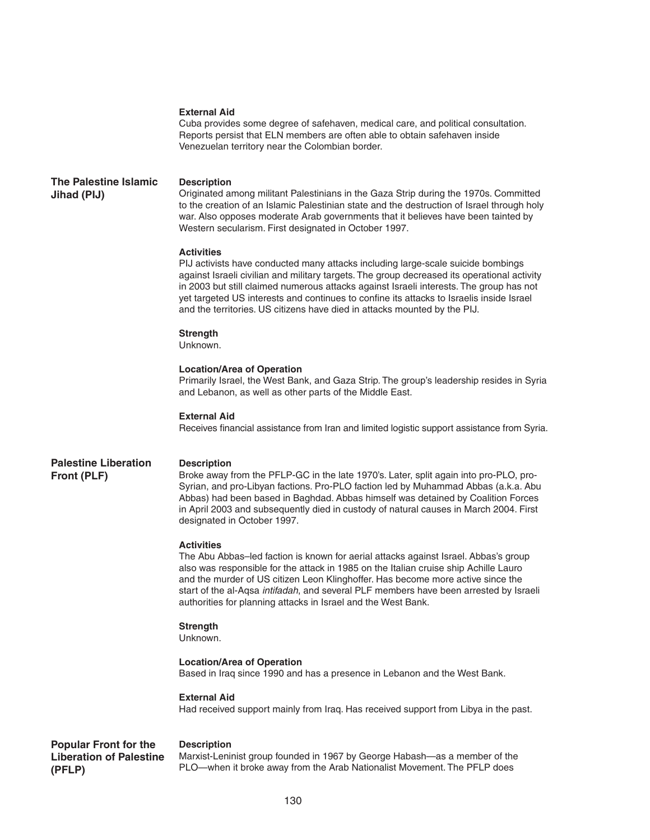## **External Aid**

Cuba provides some degree of safehaven, medical care, and political consultation. Reports persist that ELN members are often able to obtain safehaven inside Venezuelan territory near the Colombian border.

**The Palestine Islamic Jihad (PIJ)** 

#### **Description**

Originated among militant Palestinians in the Gaza Strip during the 1970s. Committed to the creation of an Islamic Palestinian state and the destruction of Israel through holy war. Also opposes moderate Arab governments that it believes have been tainted by Western secularism. First designated in October 1997.

## **Activities**

PIJ activists have conducted many attacks including large-scale suicide bombings against Israeli civilian and military targets. The group decreased its operational activity in 2003 but still claimed numerous attacks against Israeli interests. The group has not yet targeted US interests and continues to confine its attacks to Israelis inside Israel and the territories. US citizens have died in attacks mounted by the PIJ.

## **Strength**

Unknown.

## **Location/Area of Operation**

Primarily Israel, the West Bank, and Gaza Strip. The group's leadership resides in Syria and Lebanon, as well as other parts of the Middle East.

## **External Aid**

Receives financial assistance from Iran and limited logistic support assistance from Syria.

# **Palestine Liberation Front (PLF)**

## **Description**

Broke away from the PFLP-GC in the late 1970's. Later, split again into pro-PLO, pro-Syrian, and pro-Libyan factions. Pro-PLO faction led by Muhammad Abbas (a.k.a. Abu Abbas) had been based in Baghdad. Abbas himself was detained by Coalition Forces in April 2003 and subsequently died in custody of natural causes in March 2004. First designated in October 1997.

# **Activities**

The Abu Abbas–led faction is known for aerial attacks against Israel. Abbas's group also was responsible for the attack in 1985 on the Italian cruise ship Achille Lauro and the murder of US citizen Leon Klinghoffer. Has become more active since the start of the al-Aqsa *intifadah*, and several PLF members have been arrested by Israeli authorities for planning attacks in Israel and the West Bank.

## **Strength**

Unknown.

# **Location/Area of Operation**

Based in Iraq since 1990 and has a presence in Lebanon and the West Bank.

## **External Aid**

Had received support mainly from Iraq. Has received support from Libya in the past.

## **Description**

**Popular Front for the Liberation of Palestine (PFLP)** 

Marxist-Leninist group founded in 1967 by George Habash—as a member of the PLO—when it broke away from the Arab Nationalist Movement. The PFLP does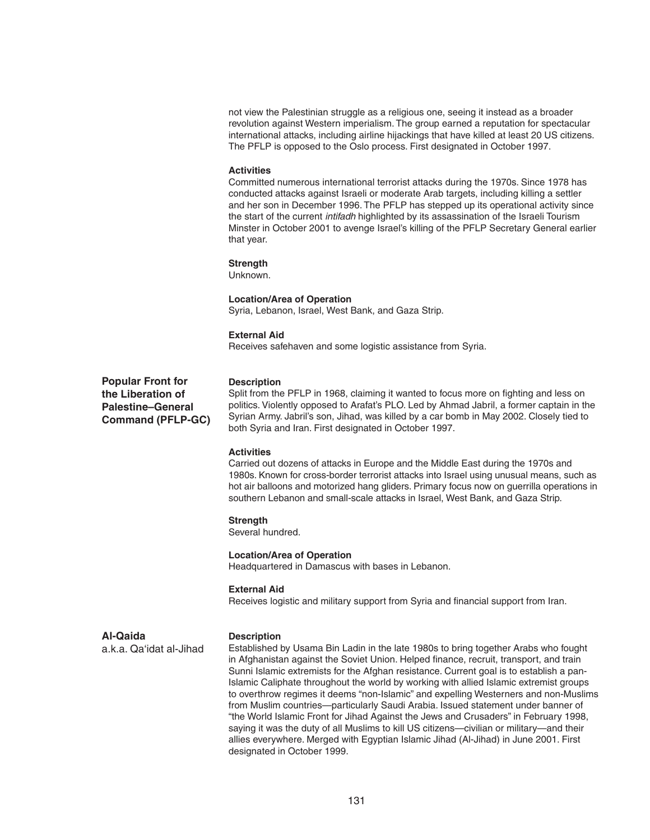not view the Palestinian struggle as a religious one, seeing it instead as a broader revolution against Western imperialism. The group earned a reputation for spectacular international attacks, including airline hijackings that have killed at least 20 US citizens. The PFLP is opposed to the Oslo process. First designated in October 1997.

## **Activities**

Committed numerous international terrorist attacks during the 1970s. Since 1978 has conducted attacks against Israeli or moderate Arab targets, including killing a settler and her son in December 1996. The PFLP has stepped up its operational activity since the start of the current *intifadh* highlighted by its assassination of the Israeli Tourism Minster in October 2001 to avenge Israel's killing of the PFLP Secretary General earlier that year.

# **Strength**

Unknown.

## **Location/Area of Operation**

Syria, Lebanon, Israel, West Bank, and Gaza Strip.

## **External Aid**

Receives safehaven and some logistic assistance from Syria.

**Popular Front for the Liberation of Palestine–General Command (PFLP-GC)** 

#### **Description**

Split from the PFLP in 1968, claiming it wanted to focus more on fighting and less on politics. Violently opposed to Arafat's PLO. Led by Ahmad Jabril, a former captain in the Syrian Army. Jabril's son, Jihad, was killed by a car bomb in May 2002. Closely tied to both Syria and Iran. First designated in October 1997.

## **Activities**

Carried out dozens of attacks in Europe and the Middle East during the 1970s and 1980s. Known for cross-border terrorist attacks into Israel using unusual means, such as hot air balloons and motorized hang gliders. Primary focus now on guerrilla operations in southern Lebanon and small-scale attacks in Israel, West Bank, and Gaza Strip.

## **Strength**

Several hundred.

## **Location/Area of Operation**

Headquartered in Damascus with bases in Lebanon.

#### **External Aid**

Receives logistic and military support from Syria and financial support from Iran.

| <b>Al-Qaida</b> |                             |  |  |  |
|-----------------|-----------------------------|--|--|--|
|                 | $\sim$ $\sim$ $\sim$ $\sim$ |  |  |  |

#### **Description**

Established by Usama Bin Ladin in the late 1980s to bring together Arabs who fought in Afghanistan against the Soviet Union. Helped finance, recruit, transport, and train Sunni Islamic extremists for the Afghan resistance. Current goal is to establish a pan-Islamic Caliphate throughout the world by working with allied Islamic extremist groups to overthrow regimes it deems "non-Islamic" and expelling Westerners and non-Muslims from Muslim countries—particularly Saudi Arabia. Issued statement under banner of "the World Islamic Front for Jihad Against the Jews and Crusaders" in February 1998, saying it was the duty of all Muslims to kill US citizens—civilian or military—and their allies everywhere. Merged with Egyptian Islamic Jihad (Al-Jihad) in June 2001. First designated in October 1999. a.k.a. Qa'idat al-Jihad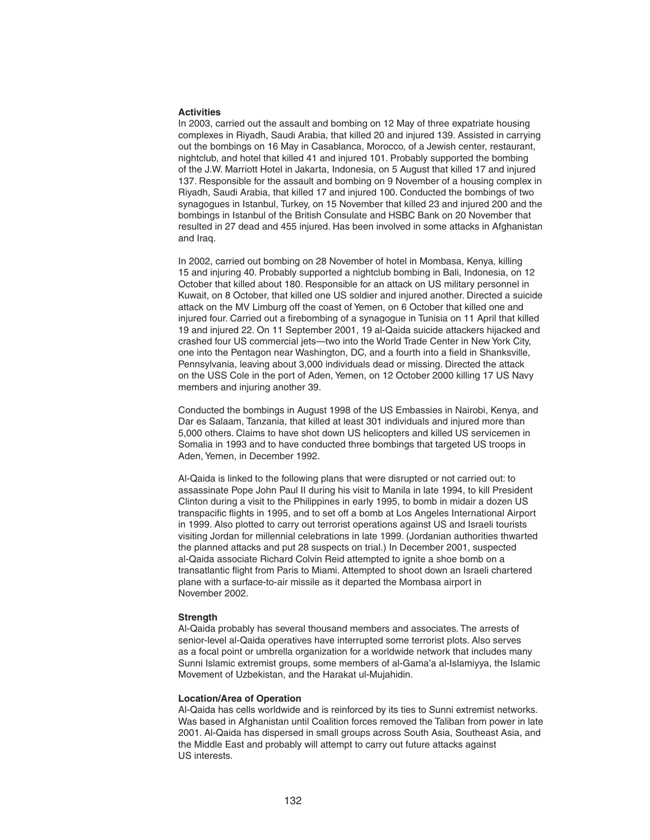In 2003, carried out the assault and bombing on 12 May of three expatriate housing complexes in Riyadh, Saudi Arabia, that killed 20 and injured 139. Assisted in carrying out the bombings on 16 May in Casablanca, Morocco, of a Jewish center, restaurant, nightclub, and hotel that killed 41 and injured 101. Probably supported the bombing of the J.W. Marriott Hotel in Jakarta, Indonesia, on 5 August that killed 17 and injured 137. Responsible for the assault and bombing on 9 November of a housing complex in Riyadh, Saudi Arabia, that killed 17 and injured 100. Conducted the bombings of two synagogues in Istanbul, Turkey, on 15 November that killed 23 and injured 200 and the bombings in Istanbul of the British Consulate and HSBC Bank on 20 November that resulted in 27 dead and 455 injured. Has been involved in some attacks in Afghanistan and Iraq.

In 2002, carried out bombing on 28 November of hotel in Mombasa, Kenya, killing 15 and injuring 40. Probably supported a nightclub bombing in Bali, Indonesia, on 12 October that killed about 180. Responsible for an attack on US military personnel in Kuwait, on 8 October, that killed one US soldier and injured another. Directed a suicide attack on the MV Limburg off the coast of Yemen, on 6 October that killed one and injured four. Carried out a firebombing of a synagogue in Tunisia on 11 April that killed 19 and injured 22. On 11 September 2001, 19 al-Qaida suicide attackers hijacked and crashed four US commercial jets—two into the World Trade Center in New York City, one into the Pentagon near Washington, DC, and a fourth into a field in Shanksville, Pennsylvania, leaving about 3,000 individuals dead or missing. Directed the attack on the USS Cole in the port of Aden, Yemen, on 12 October 2000 killing 17 US Navy members and injuring another 39.

Conducted the bombings in August 1998 of the US Embassies in Nairobi, Kenya, and Dar es Salaam, Tanzania, that killed at least 301 individuals and injured more than 5,000 others. Claims to have shot down US helicopters and killed US servicemen in Somalia in 1993 and to have conducted three bombings that targeted US troops in Aden, Yemen, in December 1992.

Al-Qaida is linked to the following plans that were disrupted or not carried out: to assassinate Pope John Paul II during his visit to Manila in late 1994, to kill President Clinton during a visit to the Philippines in early 1995, to bomb in midair a dozen US transpacific flights in 1995, and to set off a bomb at Los Angeles International Airport in 1999. Also plotted to carry out terrorist operations against US and Israeli tourists visiting Jordan for millennial celebrations in late 1999. (Jordanian authorities thwarted the planned attacks and put 28 suspects on trial.) In December 2001, suspected al-Qaida associate Richard Colvin Reid attempted to ignite a shoe bomb on a transatlantic flight from Paris to Miami. Attempted to shoot down an Israeli chartered plane with a surface-to-air missile as it departed the Mombasa airport in November 2002.

## **Strength**

Al-Qaida probably has several thousand members and associates. The arrests of senior-level al-Qaida operatives have interrupted some terrorist plots. Also serves as a focal point or umbrella organization for a worldwide network that includes many Sunni Islamic extremist groups, some members of al-Gama'a al-Islamiyya, the Islamic Movement of Uzbekistan, and the Harakat ul-Mujahidin.

## **Location/Area of Operation**

Al-Qaida has cells worldwide and is reinforced by its ties to Sunni extremist networks. Was based in Afghanistan until Coalition forces removed the Taliban from power in late 2001. Al-Qaida has dispersed in small groups across South Asia, Southeast Asia, and the Middle East and probably will attempt to carry out future attacks against US interests.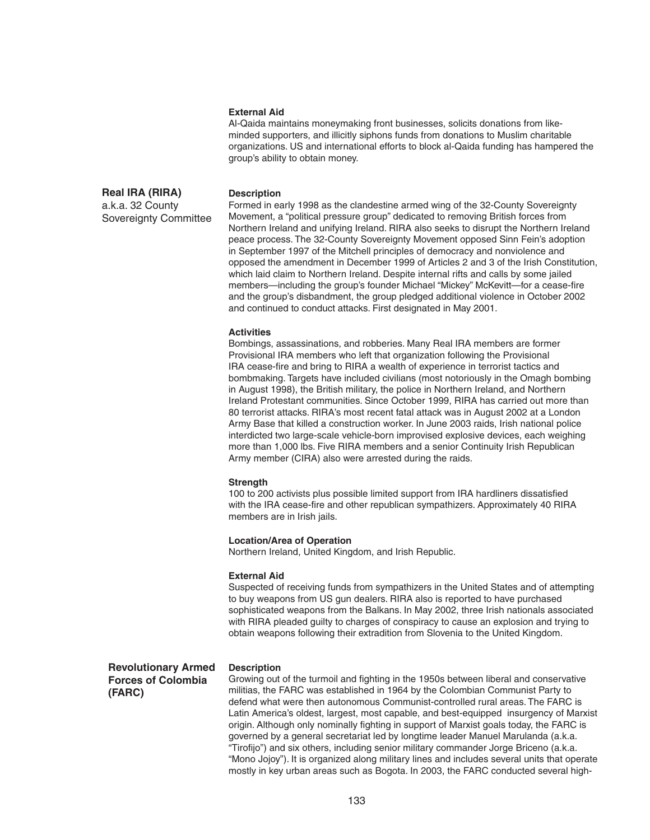#### **External Aid**

Al-Qaida maintains moneymaking front businesses, solicits donations from likeminded supporters, and illicitly siphons funds from donations to Muslim charitable organizations. US and international efforts to block al-Qaida funding has hampered the group's ability to obtain money.

## **Real IRA (RIRA)**  a.k.a. 32 County

Sovereignty Committee

**Description** 

Formed in early 1998 as the clandestine armed wing of the 32-County Sovereignty Movement, a "political pressure group" dedicated to removing British forces from Northern Ireland and unifying Ireland. RIRA also seeks to disrupt the Northern Ireland peace process. The 32-County Sovereignty Movement opposed Sinn Fein's adoption in September 1997 of the Mitchell principles of democracy and nonviolence and opposed the amendment in December 1999 of Articles 2 and 3 of the Irish Constitution, which laid claim to Northern Ireland. Despite internal rifts and calls by some jailed members—including the group's founder Michael "Mickey" McKevitt—for a cease-fire and the group's disbandment, the group pledged additional violence in October 2002 and continued to conduct attacks. First designated in May 2001.

## **Activities**

Bombings, assassinations, and robberies. Many Real IRA members are former Provisional IRA members who left that organization following the Provisional IRA cease-fire and bring to RIRA a wealth of experience in terrorist tactics and bombmaking. Targets have included civilians (most notoriously in the Omagh bombing in August 1998), the British military, the police in Northern Ireland, and Northern Ireland Protestant communities. Since October 1999, RIRA has carried out more than 80 terrorist attacks. RIRA's most recent fatal attack was in August 2002 at a London Army Base that killed a construction worker. In June 2003 raids, Irish national police interdicted two large-scale vehicle-born improvised explosive devices, each weighing more than 1,000 lbs. Five RIRA members and a senior Continuity Irish Republican Army member (CIRA) also were arrested during the raids.

## **Strength**

100 to 200 activists plus possible limited support from IRA hardliners dissatisfied with the IRA cease-fire and other republican sympathizers. Approximately 40 RIRA members are in Irish jails.

## **Location/Area of Operation**

Northern Ireland, United Kingdom, and Irish Republic.

#### **External Aid**

Suspected of receiving funds from sympathizers in the United States and of attempting to buy weapons from US gun dealers. RIRA also is reported to have purchased sophisticated weapons from the Balkans. In May 2002, three Irish nationals associated with RIRA pleaded guilty to charges of conspiracy to cause an explosion and trying to obtain weapons following their extradition from Slovenia to the United Kingdom.

**Revolutionary Armed Forces of Colombia (FARC)**

#### **Description**

Growing out of the turmoil and fighting in the 1950s between liberal and conservative militias, the FARC was established in 1964 by the Colombian Communist Party to defend what were then autonomous Communist-controlled rural areas. The FARC is Latin America's oldest, largest, most capable, and best-equipped insurgency of Marxist origin. Although only nominally fighting in support of Marxist goals today, the FARC is governed by a general secretariat led by longtime leader Manuel Marulanda (a.k.a. "Tirofijo") and six others, including senior military commander Jorge Briceno (a.k.a. "Mono Jojoy"). It is organized along military lines and includes several units that operate mostly in key urban areas such as Bogota. In 2003, the FARC conducted several high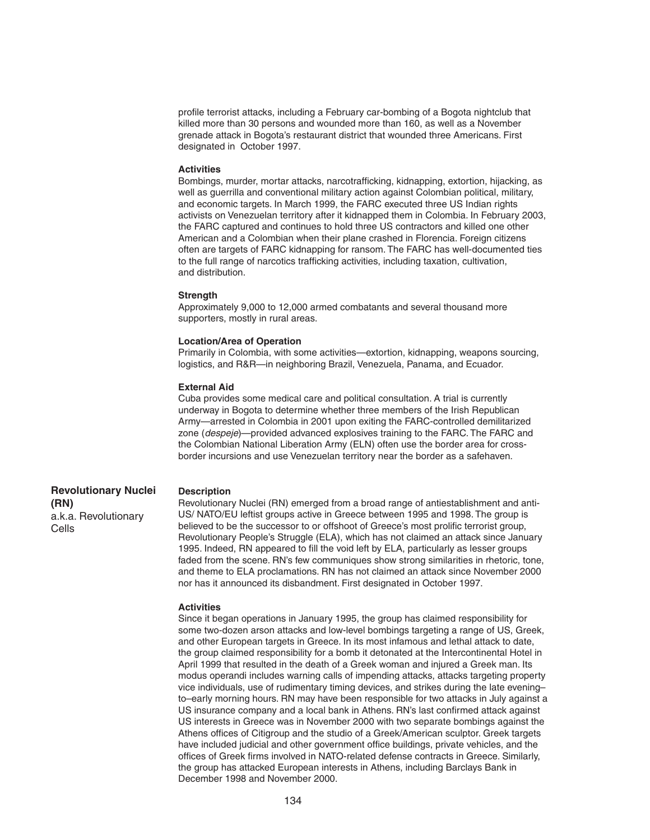profile terrorist attacks, including a February car-bombing of a Bogota nightclub that killed more than 30 persons and wounded more than 160, as well as a November grenade attack in Bogota's restaurant district that wounded three Americans. First designated in October 1997.

# **Activities**

Bombings, murder, mortar attacks, narcotrafficking, kidnapping, extortion, hijacking, as well as guerrilla and conventional military action against Colombian political, military, and economic targets. In March 1999, the FARC executed three US Indian rights activists on Venezuelan territory after it kidnapped them in Colombia. In February 2003, the FARC captured and continues to hold three US contractors and killed one other American and a Colombian when their plane crashed in Florencia. Foreign citizens often are targets of FARC kidnapping for ransom. The FARC has well-documented ties to the full range of narcotics trafficking activities, including taxation, cultivation, and distribution.

#### **Strength**

Approximately 9,000 to 12,000 armed combatants and several thousand more supporters, mostly in rural areas.

#### **Location/Area of Operation**

Primarily in Colombia, with some activities—extortion, kidnapping, weapons sourcing, logistics, and R&R—in neighboring Brazil, Venezuela, Panama, and Ecuador.

#### **External Aid**

Cuba provides some medical care and political consultation. A trial is currently underway in Bogota to determine whether three members of the Irish Republican Army—arrested in Colombia in 2001 upon exiting the FARC-controlled demilitarized zone (despeje)—provided advanced explosives training to the FARC. The FARC and the Colombian National Liberation Army (ELN) often use the border area for crossborder incursions and use Venezuelan territory near the border as a safehaven.

## **Revolutionary Nuclei**

**(RN)**  a.k.a. Revolutionary Cells

## **Description**

Revolutionary Nuclei (RN) emerged from a broad range of antiestablishment and anti-US/ NATO/EU leftist groups active in Greece between 1995 and 1998. The group is believed to be the successor to or offshoot of Greece's most prolific terrorist group, Revolutionary People's Struggle (ELA), which has not claimed an attack since January 1995. Indeed, RN appeared to fill the void left by ELA, particularly as lesser groups faded from the scene. RN's few communiques show strong similarities in rhetoric, tone, and theme to ELA proclamations. RN has not claimed an attack since November 2000 nor has it announced its disbandment. First designated in October 1997.

## **Activities**

Since it began operations in January 1995, the group has claimed responsibility for some two-dozen arson attacks and low-level bombings targeting a range of US, Greek, and other European targets in Greece. In its most infamous and lethal attack to date, the group claimed responsibility for a bomb it detonated at the Intercontinental Hotel in April 1999 that resulted in the death of a Greek woman and injured a Greek man. Its modus operandi includes warning calls of impending attacks, attacks targeting property vice individuals, use of rudimentary timing devices, and strikes during the late evening– to–early morning hours. RN may have been responsible for two attacks in July against a US insurance company and a local bank in Athens. RN's last confirmed attack against US interests in Greece was in November 2000 with two separate bombings against the Athens offices of Citigroup and the studio of a Greek/American sculptor. Greek targets have included judicial and other government office buildings, private vehicles, and the offices of Greek firms involved in NATO-related defense contracts in Greece. Similarly, the group has attacked European interests in Athens, including Barclays Bank in December 1998 and November 2000.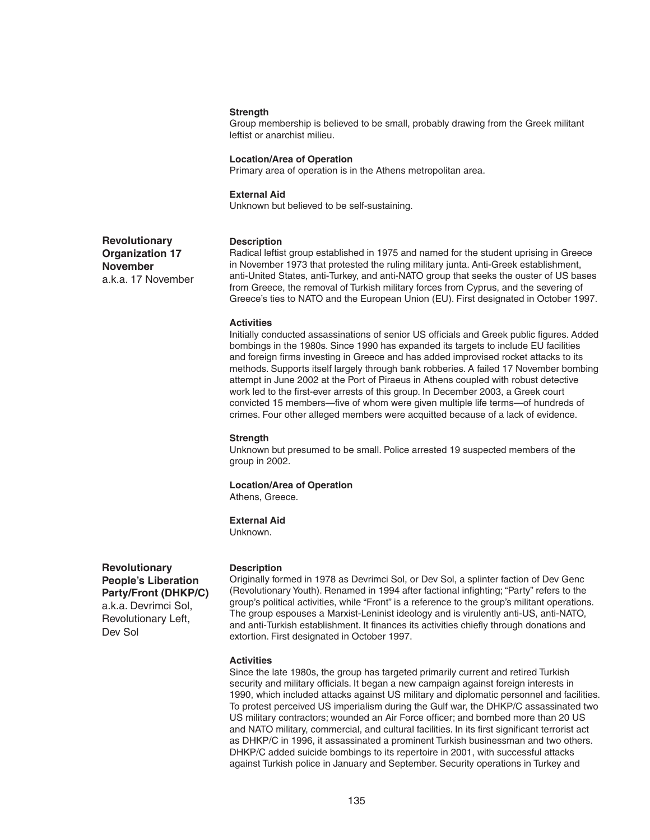#### **Strength**

Group membership is believed to be small, probably drawing from the Greek militant leftist or anarchist milieu.

## **Location/Area of Operation**

Primary area of operation is in the Athens metropolitan area.

# **External Aid**

Unknown but believed to be self-sustaining.

# **Description**

**Revolutionary Organization 17 November** a.k.a. 17 November

Radical leftist group established in 1975 and named for the student uprising in Greece in November 1973 that protested the ruling military junta. Anti-Greek establishment, anti-United States, anti-Turkey, and anti-NATO group that seeks the ouster of US bases from Greece, the removal of Turkish military forces from Cyprus, and the severing of Greece's ties to NATO and the European Union (EU). First designated in October 1997.

## **Activities**

Initially conducted assassinations of senior US officials and Greek public figures. Added bombings in the 1980s. Since 1990 has expanded its targets to include EU facilities and foreign firms investing in Greece and has added improvised rocket attacks to its methods. Supports itself largely through bank robberies. A failed 17 November bombing attempt in June 2002 at the Port of Piraeus in Athens coupled with robust detective work led to the first-ever arrests of this group. In December 2003, a Greek court convicted 15 members—five of whom were given multiple life terms—of hundreds of crimes. Four other alleged members were acquitted because of a lack of evidence.

## **Strength**

Unknown but presumed to be small. Police arrested 19 suspected members of the group in 2002.

#### **Location/Area of Operation**

Athens, Greece.

#### **External Aid**

Unknown.

**Revolutionary People's Liberation Party/Front (DHKP/C)** a.k.a. Devrimci Sol, Revolutionary Left, Dev Sol

# **Description**

Originally formed in 1978 as Devrimci Sol, or Dev Sol, a splinter faction of Dev Genc (Revolutionary Youth). Renamed in 1994 after factional infighting; "Party" refers to the group's political activities, while "Front" is a reference to the group's militant operations. The group espouses a Marxist-Leninist ideology and is virulently anti-US, anti-NATO, and anti-Turkish establishment. It finances its activities chiefly through donations and extortion. First designated in October 1997.

## **Activities**

Since the late 1980s, the group has targeted primarily current and retired Turkish security and military officials. It began a new campaign against foreign interests in 1990, which included attacks against US military and diplomatic personnel and facilities. To protest perceived US imperialism during the Gulf war, the DHKP/C assassinated two US military contractors; wounded an Air Force officer; and bombed more than 20 US and NATO military, commercial, and cultural facilities. In its first significant terrorist act as DHKP/C in 1996, it assassinated a prominent Turkish businessman and two others. DHKP/C added suicide bombings to its repertoire in 2001, with successful attacks against Turkish police in January and September. Security operations in Turkey and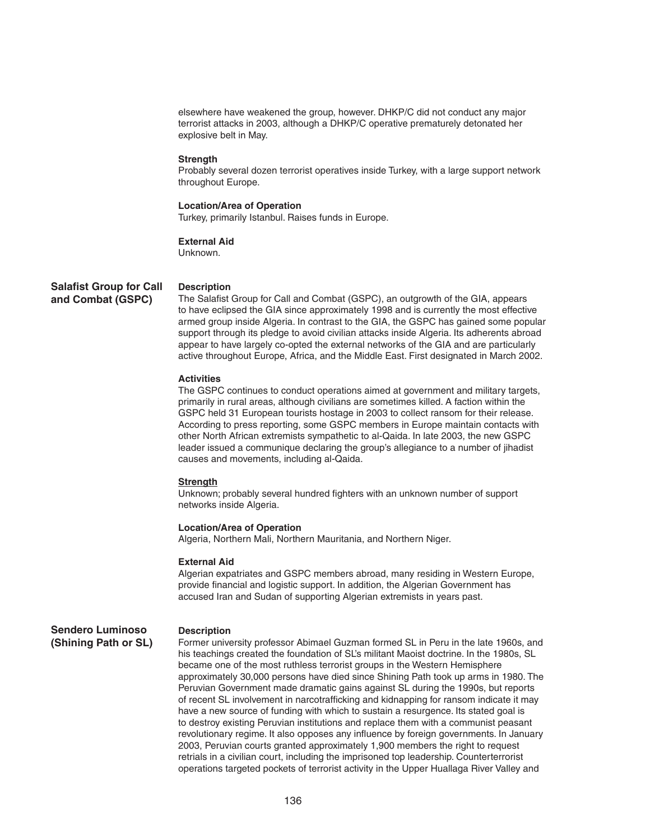elsewhere have weakened the group, however. DHKP/C did not conduct any major terrorist attacks in 2003, although a DHKP/C operative prematurely detonated her explosive belt in May.

#### **Strength**

Probably several dozen terrorist operatives inside Turkey, with a large support network throughout Europe.

#### **Location/Area of Operation**

Turkey, primarily Istanbul. Raises funds in Europe.

#### **External Aid**

Unknown.

**Salafist Group for Call and Combat (GSPC)**

# **Description**

The Salafist Group for Call and Combat (GSPC), an outgrowth of the GIA, appears to have eclipsed the GIA since approximately 1998 and is currently the most effective armed group inside Algeria. In contrast to the GIA, the GSPC has gained some popular support through its pledge to avoid civilian attacks inside Algeria. Its adherents abroad appear to have largely co-opted the external networks of the GIA and are particularly active throughout Europe, Africa, and the Middle East. First designated in March 2002.

## **Activities**

The GSPC continues to conduct operations aimed at government and military targets, primarily in rural areas, although civilians are sometimes killed. A faction within the GSPC held 31 European tourists hostage in 2003 to collect ransom for their release. According to press reporting, some GSPC members in Europe maintain contacts with other North African extremists sympathetic to al-Qaida. In late 2003, the new GSPC leader issued a communique declaring the group's allegiance to a number of jihadist causes and movements, including al-Qaida.

#### **Strength**

Unknown; probably several hundred fighters with an unknown number of support networks inside Algeria.

## **Location/Area of Operation**

Algeria, Northern Mali, Northern Mauritania, and Northern Niger.

#### **External Aid**

Algerian expatriates and GSPC members abroad, many residing in Western Europe, provide financial and logistic support. In addition, the Algerian Government has accused Iran and Sudan of supporting Algerian extremists in years past.

# **Sendero Luminoso (Shining Path or SL)**

## **Description**

Former university professor Abimael Guzman formed SL in Peru in the late 1960s, and his teachings created the foundation of SL's militant Maoist doctrine. In the 1980s, SL became one of the most ruthless terrorist groups in the Western Hemisphere approximately 30,000 persons have died since Shining Path took up arms in 1980. The Peruvian Government made dramatic gains against SL during the 1990s, but reports of recent SL involvement in narcotrafficking and kidnapping for ransom indicate it may have a new source of funding with which to sustain a resurgence. Its stated goal is to destroy existing Peruvian institutions and replace them with a communist peasant revolutionary regime. It also opposes any influence by foreign governments. In January 2003, Peruvian courts granted approximately 1,900 members the right to request retrials in a civilian court, including the imprisoned top leadership. Counterterrorist operations targeted pockets of terrorist activity in the Upper Huallaga River Valley and